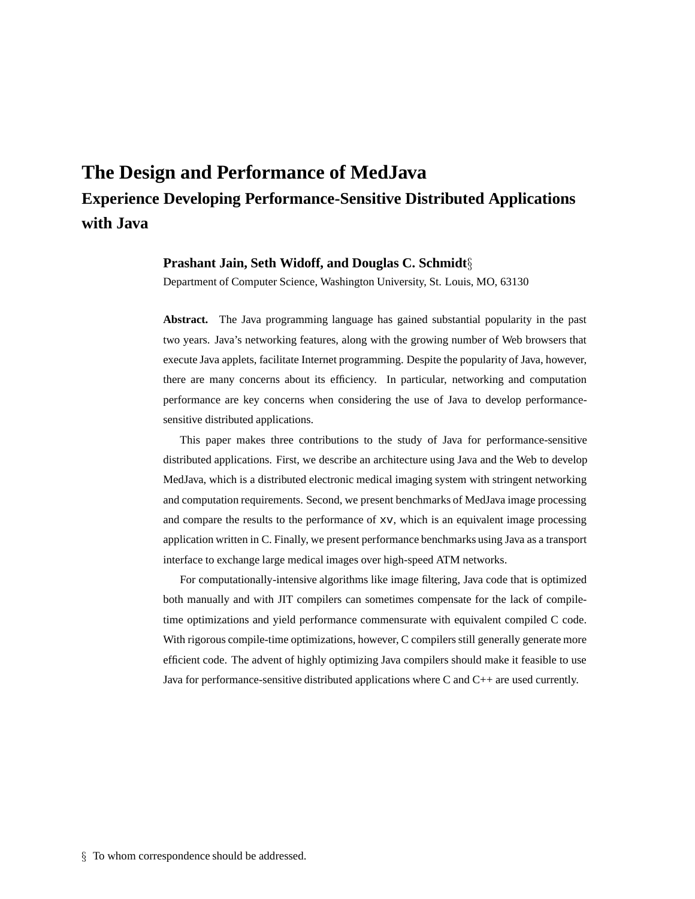# **The Design and Performance of MedJava Experience Developing Performance-Sensitive Distributed Applications with Java**

**Prashant Jain, Seth Widoff, and Douglas C. Schmidt**§

Department of Computer Science, Washington University, St. Louis, MO, 63130

**Abstract.** The Java programming language has gained substantial popularity in the past two years. Java's networking features, along with the growing number of Web browsers that execute Java applets, facilitate Internet programming. Despite the popularity of Java, however, there are many concerns about its efficiency. In particular, networking and computation performance are key concerns when considering the use of Java to develop performancesensitive distributed applications.

This paper makes three contributions to the study of Java for performance-sensitive distributed applications. First, we describe an architecture using Java and the Web to develop MedJava, which is a distributed electronic medical imaging system with stringent networking and computation requirements. Second, we present benchmarks of MedJava image processing and compare the results to the performance of  $xy$ , which is an equivalent image processing application written in C. Finally, we present performance benchmarks using Java as a transport interface to exchange large medical images over high-speed ATM networks.

For computationally-intensive algorithms like image filtering, Java code that is optimized both manually and with JIT compilers can sometimes compensate for the lack of compiletime optimizations and yield performance commensurate with equivalent compiled C code. With rigorous compile-time optimizations, however, C compilers still generally generate more efficient code. The advent of highly optimizing Java compilers should make it feasible to use Java for performance-sensitive distributed applications where C and C++ are used currently.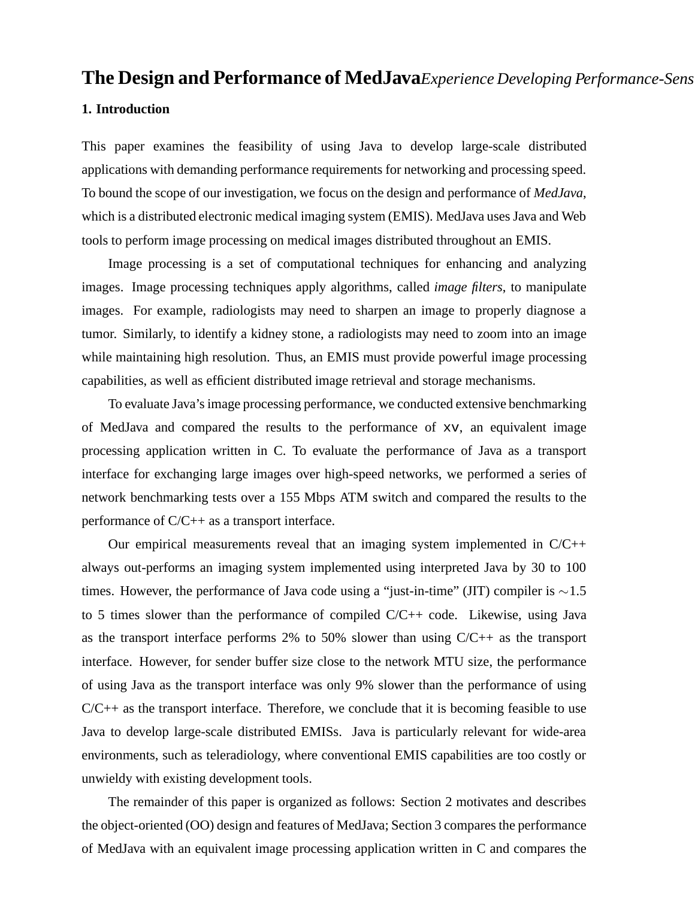#### **1. Introduction**

This paper examines the feasibility of using Java to develop large-scale distributed applications with demanding performance requirements for networking and processing speed. To bound the scope of our investigation, we focus on the design and performance of *MedJava*, which is a distributed electronic medical imaging system (EMIS). MedJava uses Java and Web tools to perform image processing on medical images distributed throughout an EMIS.

Image processing is a set of computational techniques for enhancing and analyzing images. Image processing techniques apply algorithms, called *image filters*, to manipulate images. For example, radiologists may need to sharpen an image to properly diagnose a tumor. Similarly, to identify a kidney stone, a radiologists may need to zoom into an image while maintaining high resolution. Thus, an EMIS must provide powerful image processing capabilities, as well as efficient distributed image retrieval and storage mechanisms.

To evaluate Java's image processing performance, we conducted extensive benchmarking of MedJava and compared the results to the performance of xv, an equivalent image processing application written in C. To evaluate the performance of Java as a transport interface for exchanging large images over high-speed networks, we performed a series of network benchmarking tests over a 155 Mbps ATM switch and compared the results to the performance of C/C++ as a transport interface.

Our empirical measurements reveal that an imaging system implemented in  $C/C++$ always out-performs an imaging system implemented using interpreted Java by 30 to 100 times. However, the performance of Java code using a "just-in-time" (JIT) compiler is  $\sim$ 1.5 to 5 times slower than the performance of compiled C/C++ code. Likewise, using Java as the transport interface performs 2% to 50% slower than using  $C/C++$  as the transport interface. However, for sender buffer size close to the network MTU size, the performance of using Java as the transport interface was only 9% slower than the performance of using  $C/C++$  as the transport interface. Therefore, we conclude that it is becoming feasible to use Java to develop large-scale distributed EMISs. Java is particularly relevant for wide-area environments, such as teleradiology, where conventional EMIS capabilities are too costly or unwieldy with existing development tools.

The remainder of this paper is organized as follows: Section 2 motivates and describes the object-oriented (OO) design and features of MedJava; Section 3 compares the performance of MedJava with an equivalent image processing application written in C and compares the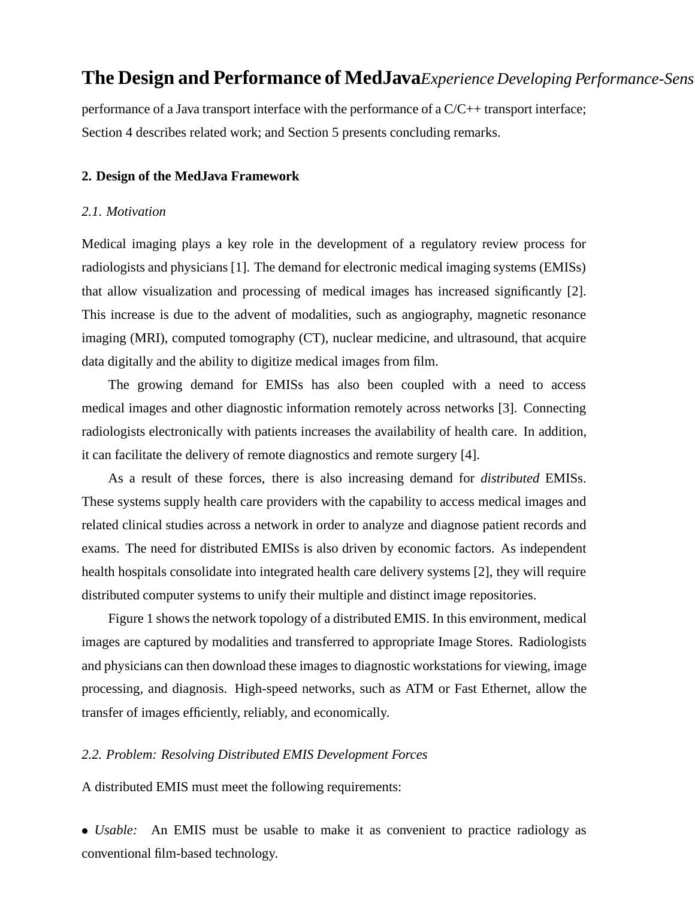performance of a Java transport interface with the performance of a C/C++ transport interface; Section 4 describes related work; and Section 5 presents concluding remarks.

#### **2. Design of the MedJava Framework**

#### *2.1. Motivation*

Medical imaging plays a key role in the development of a regulatory review process for radiologists and physicians [1]. The demand for electronic medical imaging systems (EMISs) that allow visualization and processing of medical images has increased significantly [2]. This increase is due to the advent of modalities, such as angiography, magnetic resonance imaging (MRI), computed tomography (CT), nuclear medicine, and ultrasound, that acquire data digitally and the ability to digitize medical images from film.

The growing demand for EMISs has also been coupled with a need to access medical images and other diagnostic information remotely across networks [3]. Connecting radiologists electronically with patients increases the availability of health care. In addition, it can facilitate the delivery of remote diagnostics and remote surgery [4].

As a result of these forces, there is also increasing demand for *distributed* EMISs. These systems supply health care providers with the capability to access medical images and related clinical studies across a network in order to analyze and diagnose patient records and exams. The need for distributed EMISs is also driven by economic factors. As independent health hospitals consolidate into integrated health care delivery systems [2], they will require distributed computer systems to unify their multiple and distinct image repositories.

Figure 1 shows the network topology of a distributed EMIS. In this environment, medical images are captured by modalities and transferred to appropriate Image Stores. Radiologists and physicians can then download these images to diagnostic workstations for viewing, image processing, and diagnosis. High-speed networks, such as ATM or Fast Ethernet, allow the transfer of images efficiently, reliably, and economically.

#### *2.2. Problem: Resolving Distributed EMIS Development Forces*

A distributed EMIS must meet the following requirements:

 *Usable:* An EMIS must be usable to make it as convenient to practice radiology as conventional film-based technology.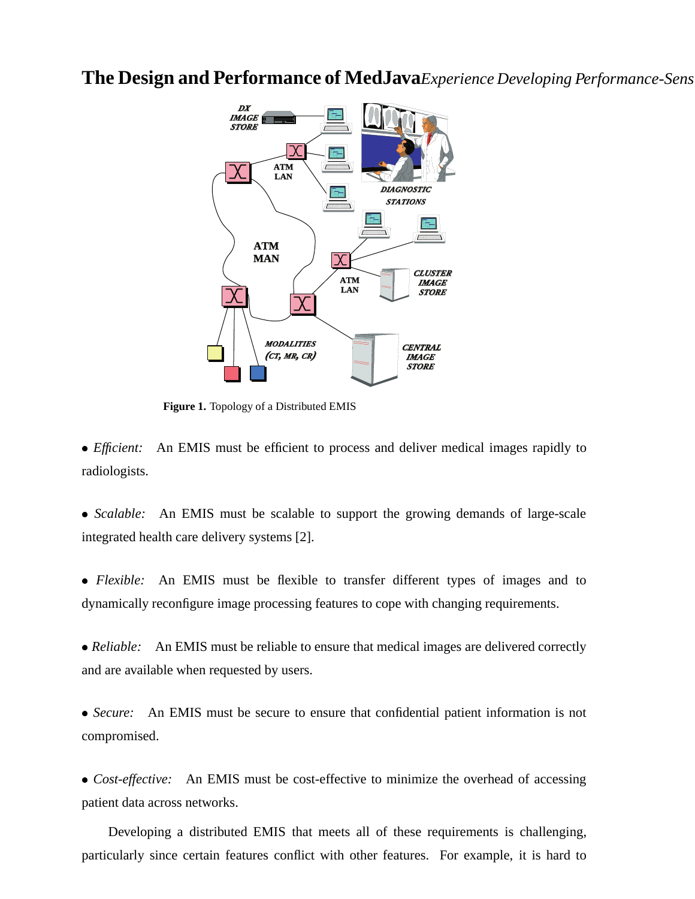

**Figure 1.** Topology of a Distributed EMIS

 *Efficient:*An EMIS must be efficient to process and deliver medical images rapidly to radiologists.

 *Scalable:* An EMIS must be scalable to support the growing demands of large-scale integrated health care delivery systems [2].

 *Flexible:* An EMIS must be flexible to transfer different types of images and to dynamically reconfigure image processing features to cope with changing requirements.

• *Reliable:* An EMIS must be reliable to ensure that medical images are delivered correctly and are available when requested by users.

 *Secure:* An EMIS must be secure to ensure that confidential patient information is not compromised.

 *Cost-effective:* An EMIS must be cost-effective to minimize the overhead of accessing patient data across networks.

Developing a distributed EMIS that meets all of these requirements is challenging, particularly since certain features conflict with other features. For example, it is hard to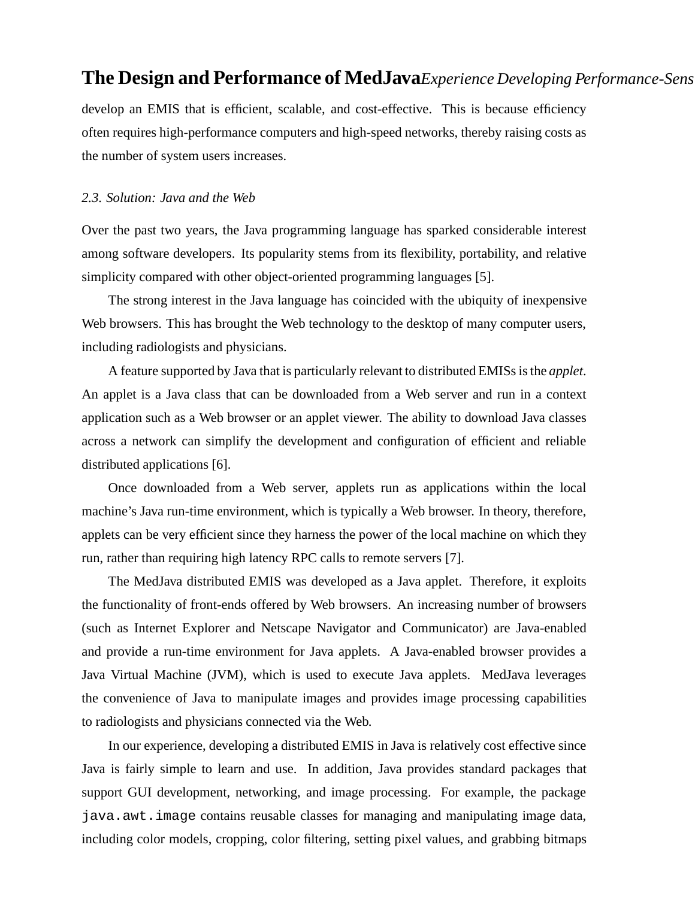develop an EMIS that is efficient, scalable, and cost-effective. This is because efficiency often requires high-performance computers and high-speed networks, thereby raising costs as the number of system users increases.

#### *2.3. Solution: Java and the Web*

Over the past two years, the Java programming language has sparked considerable interest among software developers. Its popularity stems from its flexibility, portability, and relative simplicity compared with other object-oriented programming languages [5].

The strong interest in the Java language has coincided with the ubiquity of inexpensive Web browsers. This has brought the Web technology to the desktop of many computer users, including radiologists and physicians.

A feature supported by Java that is particularly relevant to distributed EMISs is the *applet*. An applet is a Java class that can be downloaded from a Web server and run in a context application such as a Web browser or an applet viewer. The ability to download Java classes across a network can simplify the development and configuration of efficient and reliable distributed applications [6].

Once downloaded from a Web server, applets run as applications within the local machine's Java run-time environment, which is typically a Web browser. In theory, therefore, applets can be very efficient since they harness the power of the local machine on which they run, rather than requiring high latency RPC calls to remote servers [7].

The MedJava distributed EMIS was developed as a Java applet. Therefore, it exploits the functionality of front-ends offered by Web browsers. An increasing number of browsers (such as Internet Explorer and Netscape Navigator and Communicator) are Java-enabled and provide a run-time environment for Java applets. A Java-enabled browser provides a Java Virtual Machine (JVM), which is used to execute Java applets. MedJava leverages the convenience of Java to manipulate images and provides image processing capabilities to radiologists and physicians connected via the Web.

In our experience, developing a distributed EMIS in Java is relatively cost effective since Java is fairly simple to learn and use. In addition, Java provides standard packages that support GUI development, networking, and image processing. For example, the package java.awt.image contains reusable classes for managing and manipulating image data, including color models, cropping, color filtering, setting pixel values, and grabbing bitmaps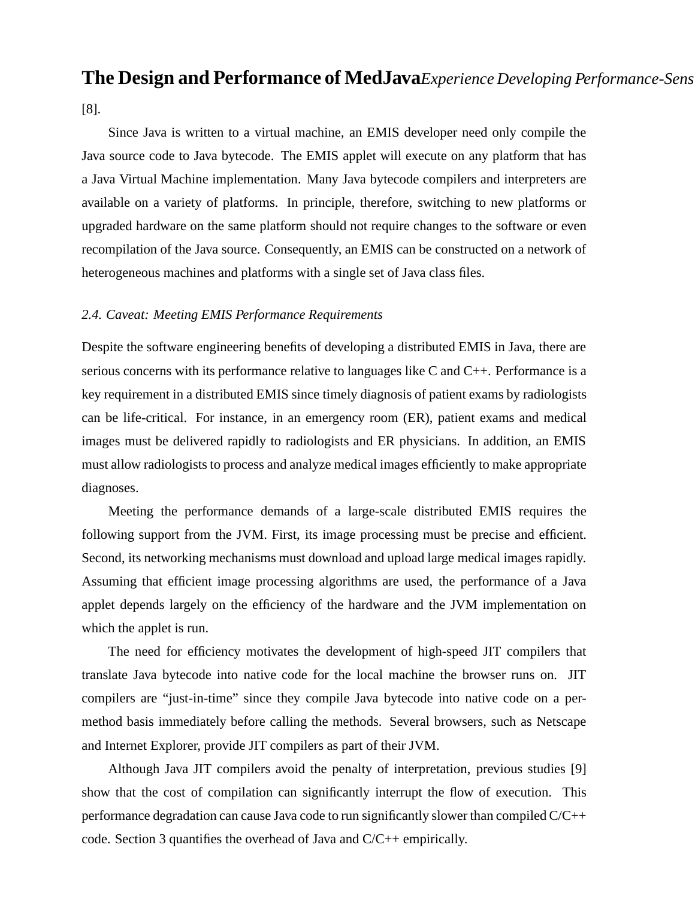[8].

Since Java is written to a virtual machine, an EMIS developer need only compile the Java source code to Java bytecode. The EMIS applet will execute on any platform that has a Java Virtual Machine implementation. Many Java bytecode compilers and interpreters are available on a variety of platforms. In principle, therefore, switching to new platforms or upgraded hardware on the same platform should not require changes to the software or even recompilation of the Java source. Consequently, an EMIS can be constructed on a network of heterogeneous machines and platforms with a single set of Java class files.

#### *2.4. Caveat: Meeting EMIS Performance Requirements*

Despite the software engineering benefits of developing a distributed EMIS in Java, there are serious concerns with its performance relative to languages like C and C++. Performance is a key requirement in a distributed EMIS since timely diagnosis of patient exams by radiologists can be life-critical. For instance, in an emergency room (ER), patient exams and medical images must be delivered rapidly to radiologists and ER physicians. In addition, an EMIS must allow radiologists to process and analyze medical images efficiently to make appropriate diagnoses.

Meeting the performance demands of a large-scale distributed EMIS requires the following support from the JVM. First, its image processing must be precise and efficient. Second, its networking mechanisms must download and upload large medical images rapidly. Assuming that efficient image processing algorithms are used, the performance of a Java applet depends largely on the efficiency of the hardware and the JVM implementation on which the applet is run.

The need for efficiency motivates the development of high-speed JIT compilers that translate Java bytecode into native code for the local machine the browser runs on. JIT compilers are "just-in-time" since they compile Java bytecode into native code on a permethod basis immediately before calling the methods. Several browsers, such as Netscape and Internet Explorer, provide JIT compilers as part of their JVM.

Although Java JIT compilers avoid the penalty of interpretation, previous studies [9] show that the cost of compilation can significantly interrupt the flow of execution. This performance degradation can cause Java code to run significantly slower than compiled C/C++ code. Section 3 quantifies the overhead of Java and C/C++ empirically.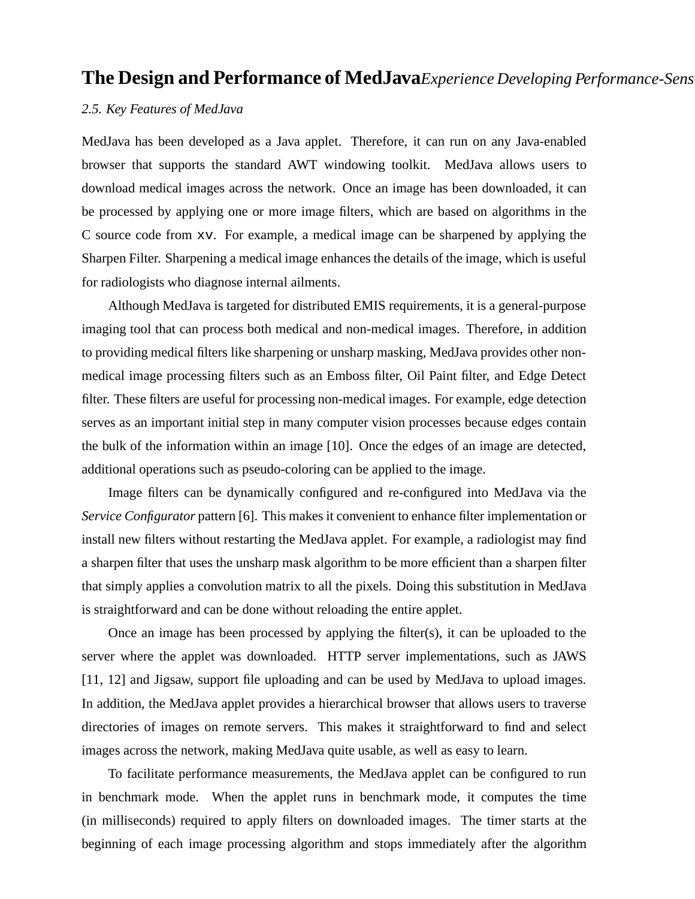#### *2.5. Key Features of MedJava*

MedJava has been developed as a Java applet. Therefore, it can run on any Java-enabled browser that supports the standard AWT windowing toolkit. MedJava allows users to download medical images across the network. Once an image has been downloaded, it can be processed by applying one or more image filters, which are based on algorithms in the C source code from xv. For example, a medical image can be sharpened by applying the Sharpen Filter. Sharpening a medical image enhances the details of the image, which is useful for radiologists who diagnose internal ailments.

Although MedJava is targeted for distributed EMIS requirements, it is a general-purpose imaging tool that can process both medical and non-medical images. Therefore, in addition to providing medical filters like sharpening or unsharp masking, MedJava provides other nonmedical image processing filters such as an Emboss filter, Oil Paint filter, and Edge Detect filter. These filters are useful for processing non-medical images. For example, edge detection serves as an important initial step in many computer vision processes because edges contain the bulk of the information within an image [10]. Once the edges of an image are detected, additional operations such as pseudo-coloring can be applied to the image.

Image filters can be dynamically configured and re-configured into MedJava via the *Service Configurator* pattern [6]. This makes it convenient to enhance filter implementation or install new filters without restarting the MedJava applet. For example, a radiologist may find a sharpen filter that uses the unsharp mask algorithm to be more efficient than a sharpen filter that simply applies a convolution matrix to all the pixels. Doing this substitution in MedJava is straightforward and can be done without reloading the entire applet.

Once an image has been processed by applying the filter(s), it can be uploaded to the server where the applet was downloaded. HTTP server implementations, such as JAWS [11, 12] and Jigsaw, support file uploading and can be used by MedJava to upload images. In addition, the MedJava applet provides a hierarchical browser that allows users to traverse directories of images on remote servers. This makes it straightforward to find and select images across the network, making MedJava quite usable, as well as easy to learn.

To facilitate performance measurements, the MedJava applet can be configured to run in benchmark mode. When the applet runs in benchmark mode, it computes the time (in milliseconds) required to apply filters on downloaded images. The timer starts at the beginning of each image processing algorithm and stops immediately after the algorithm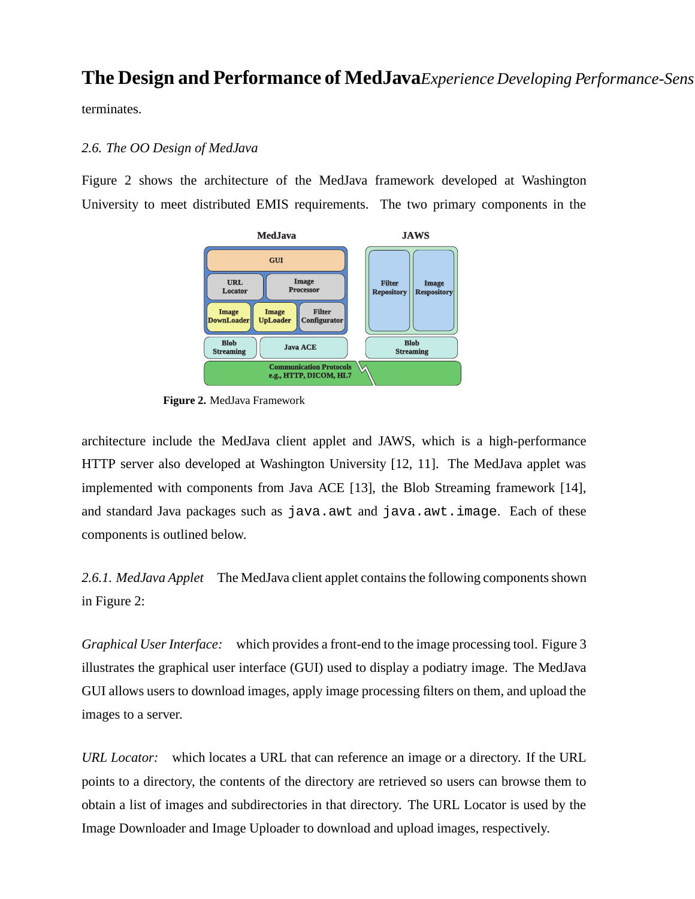terminates.

#### *2.6. The OO Design of MedJava*

Figure 2 shows the architecture of the MedJava framework developed at Washington University to meet distributed EMIS requirements. The two primary components in the



**Figure 2.** MedJava Framework

architecture include the MedJava client applet and JAWS, which is a high-performance HTTP server also developed at Washington University [12, 11]. The MedJava applet was implemented with components from Java ACE [13], the Blob Streaming framework [14], and standard Java packages such as java.awt and java.awt.image. Each of these components is outlined below.

*2.6.1. MedJava Applet* The MedJava client applet contains the following components shown in Figure 2:

*Graphical User Interface:* which provides a front-end to the image processing tool. Figure 3 illustrates the graphical user interface (GUI) used to display a podiatry image. The MedJava GUI allows users to download images, apply image processing filters on them, and upload the images to a server.

*URL Locator:* which locates a URL that can reference an image or a directory. If the URL points to a directory, the contents of the directory are retrieved so users can browse them to obtain a list of images and subdirectories in that directory. The URL Locator is used by the Image Downloader and Image Uploader to download and upload images, respectively.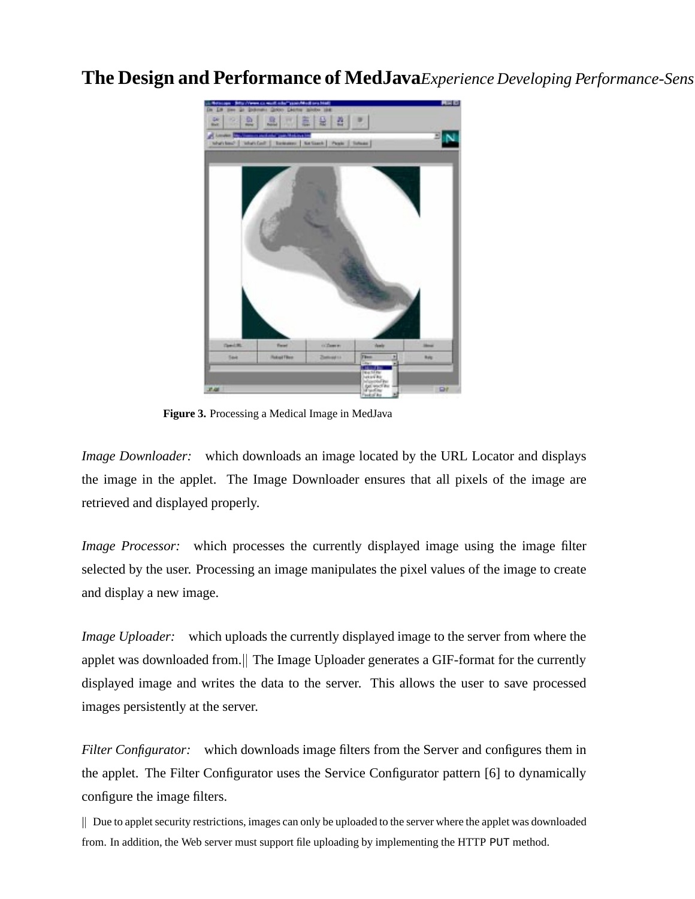

**Figure 3.** Processing a Medical Image in MedJava

*Image Downloader:* which downloads an image located by the URL Locator and displays the image in the applet. The Image Downloader ensures that all pixels of the image are retrieved and displayed properly.

*Image Processor:* which processes the currently displayed image using the image filter selected by the user. Processing an image manipulates the pixel values of the image to create and display a new image.

*Image Uploader:* which uploads the currently displayed image to the server from where the applet was downloaded from.|| The Image Uploader generates a GIF-format for the currently displayed image and writes the data to the server. This allows the user to save processed images persistently at the server.

*Filter Configurator:* which downloads image filters from the Server and configures them in the applet. The Filter Configurator uses the Service Configurator pattern [6] to dynamically configure the image filters.

 $\parallel$  Due to applet security restrictions, images can only be uploaded to the server where the applet was downloaded from. In addition, the Web server must support file uploading by implementing the HTTP PUT method.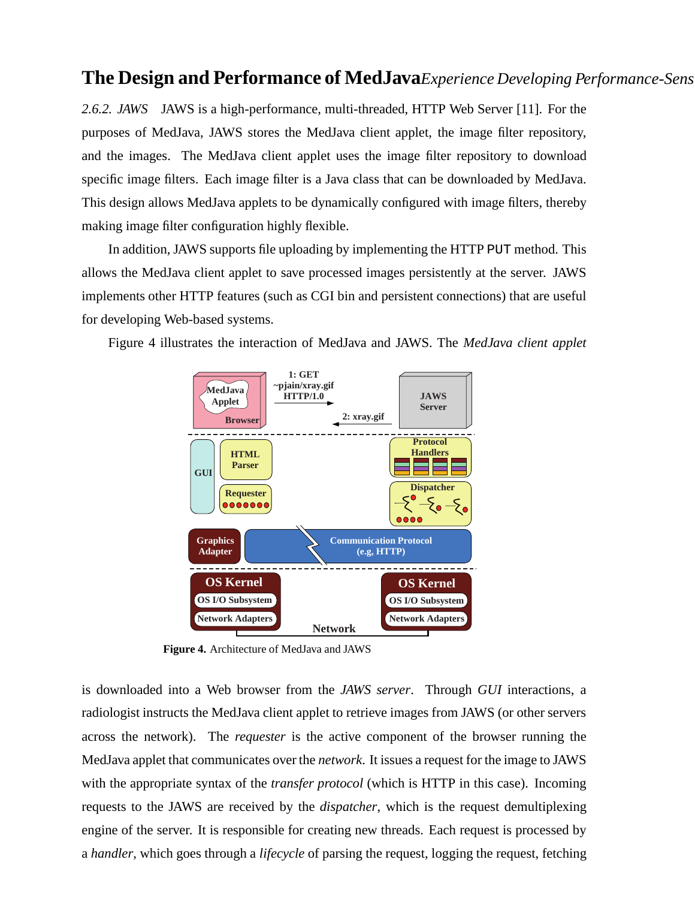*2.6.2. JAWS* JAWS is a high-performance, multi-threaded, HTTP Web Server [11]. For the purposes of MedJava, JAWS stores the MedJava client applet, the image filter repository, and the images. The MedJava client applet uses the image filter repository to download specific image filters. Each image filter is a Java class that can be downloaded by MedJava. This design allows MedJava applets to be dynamically configured with image filters, thereby making image filter configuration highly flexible.

In addition, JAWS supports file uploading by implementing the HTTP PUT method. This allows the MedJava client applet to save processed images persistently at the server. JAWS implements other HTTP features (such as CGI bin and persistent connections) that are useful for developing Web-based systems.

Figure 4 illustrates the interaction of MedJava and JAWS. The *MedJava client applet*



**Figure 4.** Architecture of MedJava and JAWS

is downloaded into a Web browser from the *JAWS server*. Through *GUI* interactions, a radiologist instructs the MedJava client applet to retrieve images from JAWS (or other servers across the network). The *requester* is the active component of the browser running the MedJava applet that communicates over the *network*. It issues a request for the image to JAWS with the appropriate syntax of the *transfer protocol* (which is HTTP in this case). Incoming requests to the JAWS are received by the *dispatcher*, which is the request demultiplexing engine of the server. It is responsible for creating new threads. Each request is processed by a *handler*, which goes through a *lifecycle* of parsing the request, logging the request, fetching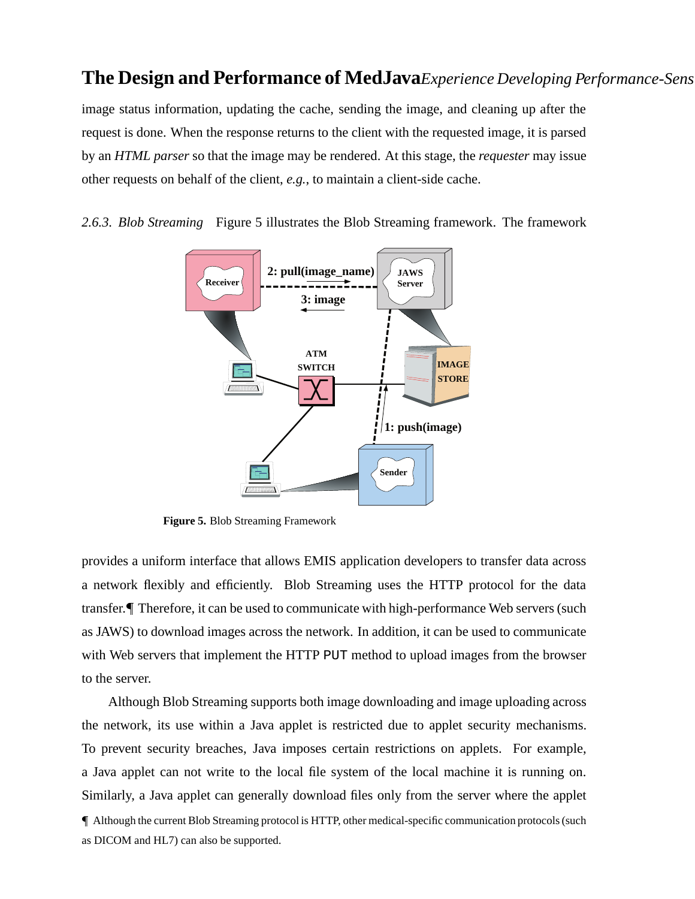image status information, updating the cache, sending the image, and cleaning up after the request is done. When the response returns to the client with the requested image, it is parsed by an *HTML parser* so that the image may be rendered. At this stage, the *requester* may issue other requests on behalf of the client, *e.g.*, to maintain a client-side cache.

*2.6.3. Blob Streaming* Figure 5 illustrates the Blob Streaming framework. The framework



**Figure 5.** Blob Streaming Framework

provides a uniform interface that allows EMIS application developers to transfer data across a network flexibly and efficiently. Blob Streaming uses the HTTP protocol for the data transfer.{ Therefore, it can be used to communicate with high-performance Web servers (such as JAWS) to download images across the network. In addition, it can be used to communicate with Web servers that implement the HTTP PUT method to upload images from the browser to the server.

Although Blob Streaming supports both image downloading and image uploading across the network, its use within a Java applet is restricted due to applet security mechanisms. To prevent security breaches, Java imposes certain restrictions on applets. For example, a Java applet can not write to the local file system of the local machine it is running on. Similarly, a Java applet can generally download files only from the server where the applet

{ Although the current Blob Streaming protocol is HTTP, other medical-specific communication protocols (such as DICOM and HL7) can also be supported.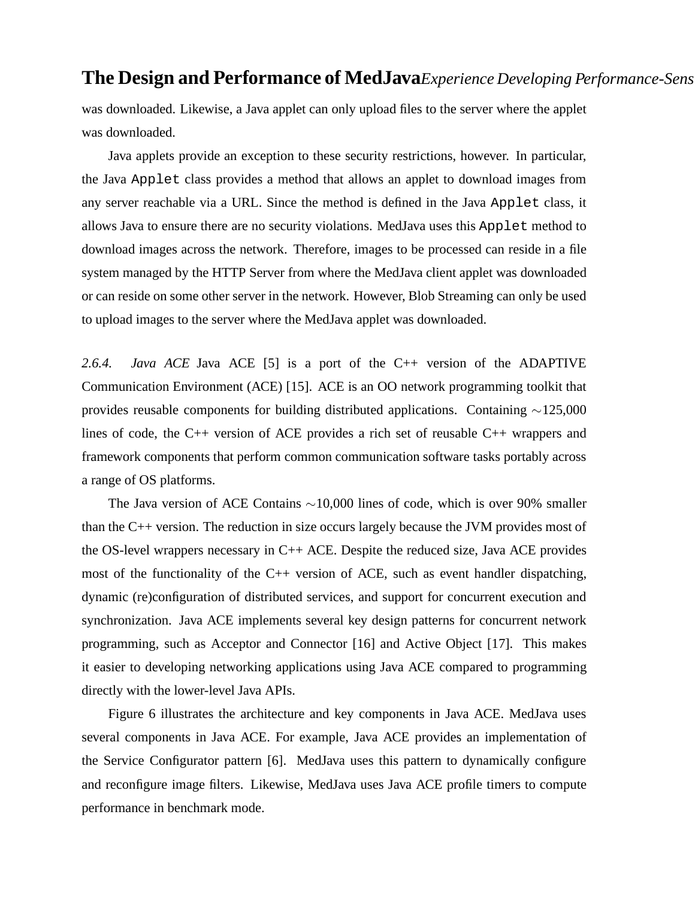was downloaded. Likewise, a Java applet can only upload files to the server where the applet was downloaded.

Java applets provide an exception to these security restrictions, however. In particular, the Java Applet class provides a method that allows an applet to download images from any server reachable via a URL. Since the method is defined in the Java Applet class, it allows Java to ensure there are no security violations. MedJava uses this Applet method to download images across the network. Therefore, images to be processed can reside in a file system managed by the HTTP Server from where the MedJava client applet was downloaded or can reside on some other server in the network. However, Blob Streaming can only be used to upload images to the server where the MedJava applet was downloaded.

*2.6.4. Java ACE* Java ACE [5] is a port of the C++ version of the ADAPTIVE Communication Environment (ACE) [15]. ACE is an OO network programming toolkit that provides reusable components for building distributed applications. Containing  $\sim$ 125,000 lines of code, the C++ version of ACE provides a rich set of reusable C++ wrappers and framework components that perform common communication software tasks portably across a range of OS platforms.

The Java version of ACE Contains  $\sim$  10,000 lines of code, which is over 90% smaller than the C++ version. The reduction in size occurs largely because the JVM provides most of the OS-level wrappers necessary in C++ ACE. Despite the reduced size, Java ACE provides most of the functionality of the C++ version of ACE, such as event handler dispatching, dynamic (re)configuration of distributed services, and support for concurrent execution and synchronization. Java ACE implements several key design patterns for concurrent network programming, such as Acceptor and Connector [16] and Active Object [17]. This makes it easier to developing networking applications using Java ACE compared to programming directly with the lower-level Java APIs.

Figure 6 illustrates the architecture and key components in Java ACE. MedJava uses several components in Java ACE. For example, Java ACE provides an implementation of the Service Configurator pattern [6]. MedJava uses this pattern to dynamically configure and reconfigure image filters. Likewise, MedJava uses Java ACE profile timers to compute performance in benchmark mode.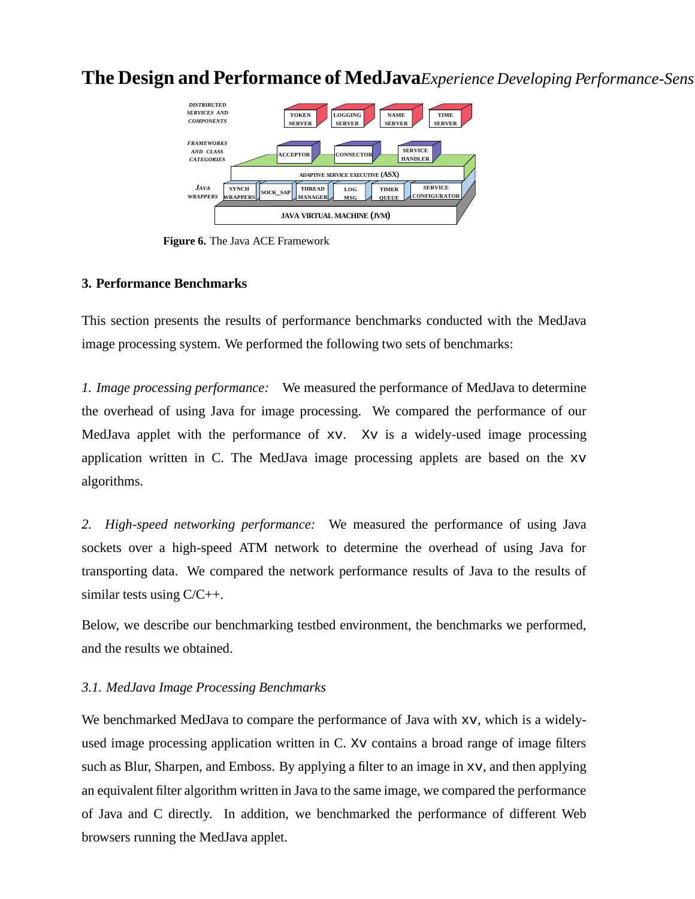

**Figure 6.** The Java ACE Framework

#### **3. Performance Benchmarks**

This section presents the results of performance benchmarks conducted with the MedJava image processing system. We performed the following two sets of benchmarks:

*1. Image processing performance:* We measured the performance of MedJava to determine the overhead of using Java for image processing. We compared the performance of our MedJava applet with the performance of xv. Xv is a widely-used image processing application written in C. The MedJava image processing applets are based on the xv algorithms.

*2. High-speed networking performance:* We measured the performance of using Java sockets over a high-speed ATM network to determine the overhead of using Java for transporting data. We compared the network performance results of Java to the results of similar tests using C/C++.

Below, we describe our benchmarking testbed environment, the benchmarks we performed, and the results we obtained.

#### *3.1. MedJava Image Processing Benchmarks*

We benchmarked MedJava to compare the performance of Java with xv, which is a widelyused image processing application written in C. Xv contains a broad range of image filters such as Blur, Sharpen, and Emboss. By applying a filter to an image in xv, and then applying an equivalent filter algorithm written in Java to the same image, we compared the performance of Java and C directly. In addition, we benchmarked the performance of different Web browsers running the MedJava applet.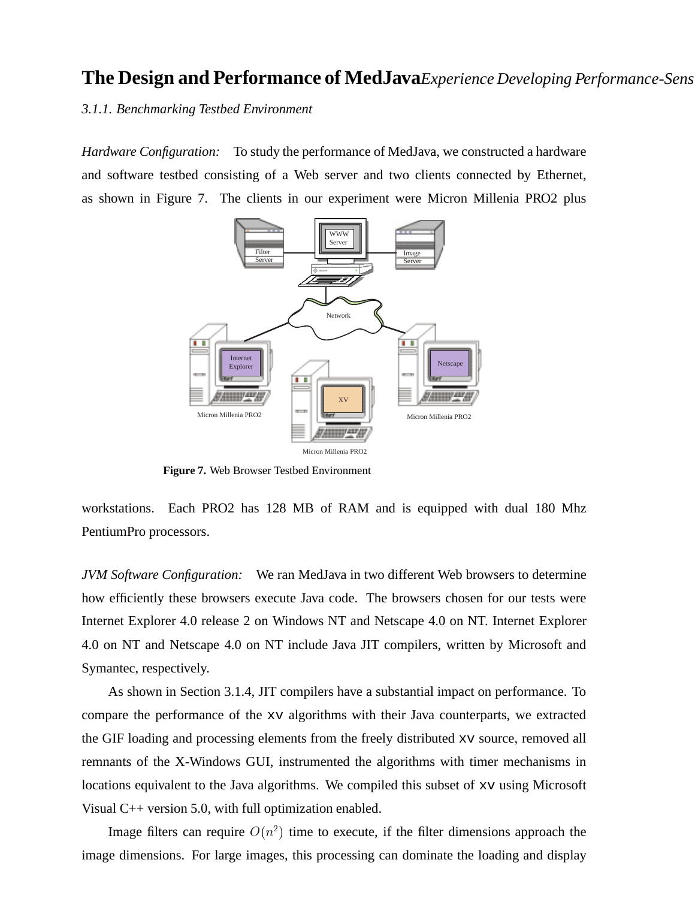*3.1.1. Benchmarking Testbed Environment*

*Hardware Configuration:* To study the performance of MedJava, we constructed a hardware and software testbed consisting of a Web server and two clients connected by Ethernet, as shown in Figure 7. The clients in our experiment were Micron Millenia PRO2 plus



**Figure 7.** Web Browser Testbed Environment

workstations. Each PRO2 has 128 MB of RAM and is equipped with dual 180 Mhz PentiumPro processors.

*JVM Software Configuration:* We ran MedJava in two different Web browsers to determine how efficiently these browsers execute Java code. The browsers chosen for our tests were Internet Explorer 4.0 release 2 on Windows NT and Netscape 4.0 on NT. Internet Explorer 4.0 on NT and Netscape 4.0 on NT include Java JIT compilers, written by Microsoft and Symantec, respectively.

As shown in Section 3.1.4, JIT compilers have a substantial impact on performance. To compare the performance of the xv algorithms with their Java counterparts, we extracted the GIF loading and processing elements from the freely distributed xv source, removed all remnants of the X-Windows GUI, instrumented the algorithms with timer mechanisms in locations equivalent to the Java algorithms. We compiled this subset of xv using Microsoft Visual C++ version 5.0, with full optimization enabled.

Image filters can require  $O(n^2)$  time to execute, if the filter dimensions approach the image dimensions. For large images, this processing can dominate the loading and display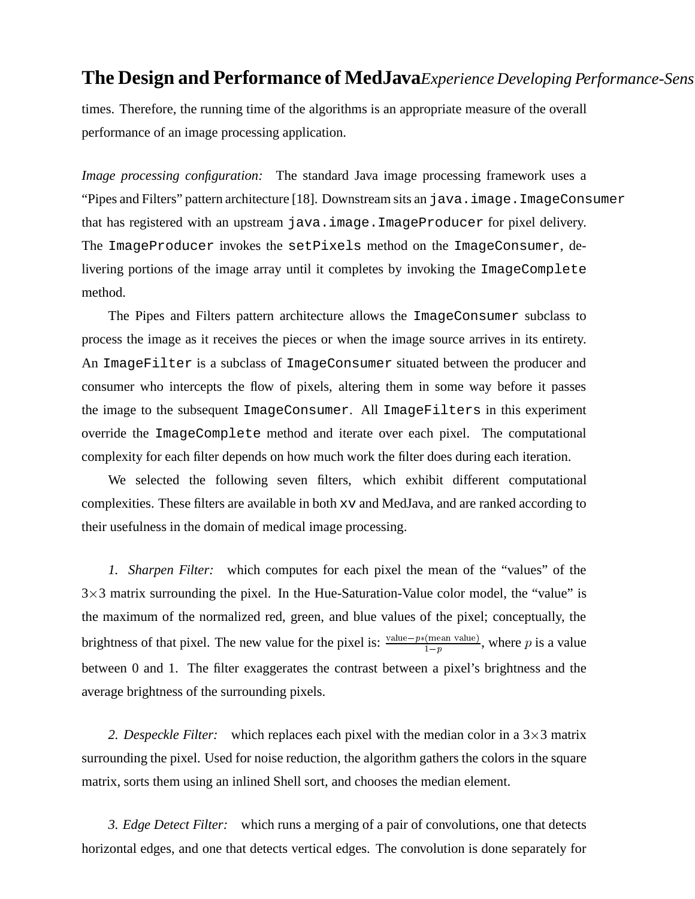times. Therefore, the running time of the algorithms is an appropriate measure of the overall performance of an image processing application.

*Image processing configuration:* The standard Java image processing framework uses a "Pipes and Filters" pattern architecture [18]. Downstream sits an java.image.ImageConsumer that has registered with an upstream java.image.ImageProducer for pixel delivery. The ImageProducer invokes the setPixels method on the ImageConsumer, delivering portions of the image array until it completes by invoking the ImageComplete method.

The Pipes and Filters pattern architecture allows the ImageConsumer subclass to process the image as it receives the pieces or when the image source arrives in its entirety. An ImageFilter is a subclass of ImageConsumer situated between the producer and consumer who intercepts the flow of pixels, altering them in some way before it passes the image to the subsequent ImageConsumer. All ImageFilters in this experiment override the ImageComplete method and iterate over each pixel. The computational complexity for each filter depends on how much work the filter does during each iteration.

We selected the following seven filters, which exhibit different computational complexities. These filters are available in both xv and MedJava, and are ranked according to their usefulness in the domain of medical image processing.

*1. Sharpen Filter:* which computes for each pixel the mean of the "values" of the  $3\times3$  matrix surrounding the pixel. In the Hue-Saturation-Value color model, the "value" is the maximum of the normalized red, green, and blue values of the pixel; conceptually, the brightness of that pixel. The new value for the pixel is:  $\frac{\text{value}-p*(\text{mean value})}{1-p}$ , where p is a value  $1$ provided a series of the series of the series of the series of the series of the series of the series of the series of the series of the series of the series of the series of the series of the series of the series of t between 0 and 1. The filter exaggerates the contrast between a pixel's brightness and the average brightness of the surrounding pixels.

2. Despeckle Filter: which replaces each pixel with the median color in a  $3\times 3$  matrix surrounding the pixel. Used for noise reduction, the algorithm gathers the colors in the square matrix, sorts them using an inlined Shell sort, and chooses the median element.

*3. Edge Detect Filter:* which runs a merging of a pair of convolutions, one that detects horizontal edges, and one that detects vertical edges. The convolution is done separately for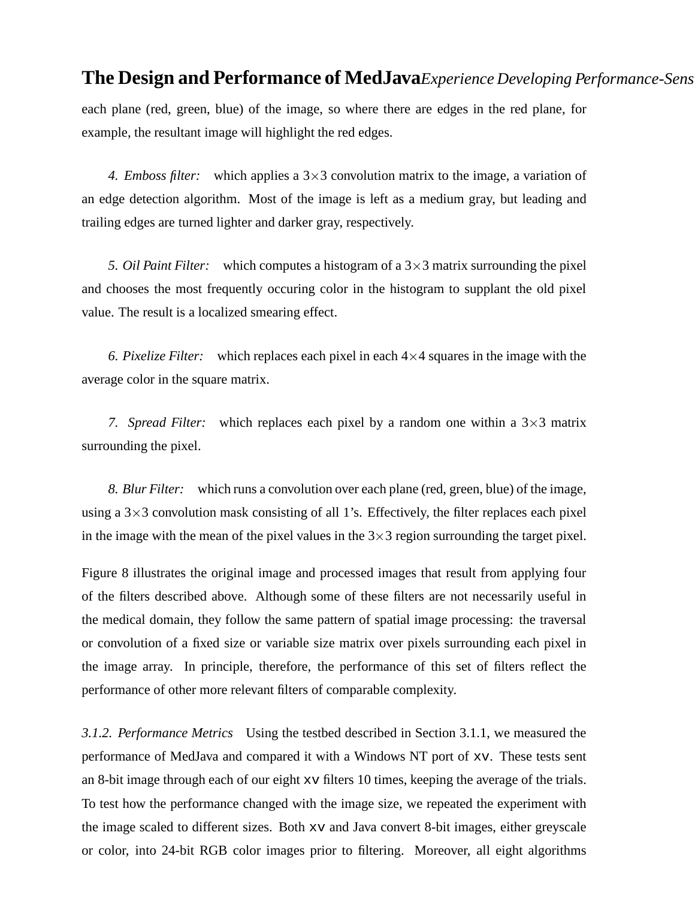each plane (red, green, blue) of the image, so where there are edges in the red plane, for example, the resultant image will highlight the red edges.

4. *Emboss filter*: which applies a 3×3 convolution matrix to the image, a variation of an edge detection algorithm. Most of the image is left as a medium gray, but leading and trailing edges are turned lighter and darker gray, respectively.

5. *Oil Paint Filter*: which computes a histogram of a  $3 \times 3$  matrix surrounding the pixel and chooses the most frequently occuring color in the histogram to supplant the old pixel value. The result is a localized smearing effect.

6. Pixelize Filter: which replaces each pixel in each  $4 \times 4$  squares in the image with the average color in the square matrix.

7. Spread Filter: which replaces each pixel by a random one within a  $3\times3$  matrix surrounding the pixel.

*8. Blur Filter:* which runs a convolution over each plane (red, green, blue) of the image, using a  $3\times3$  convolution mask consisting of all 1's. Effectively, the filter replaces each pixel in the image with the mean of the pixel values in the  $3\times 3$  region surrounding the target pixel.

Figure 8 illustrates the original image and processed images that result from applying four of the filters described above. Although some of these filters are not necessarily useful in the medical domain, they follow the same pattern of spatial image processing: the traversal or convolution of a fixed size or variable size matrix over pixels surrounding each pixel in the image array. In principle, therefore, the performance of this set of filters reflect the performance of other more relevant filters of comparable complexity.

*3.1.2. Performance Metrics* Using the testbed described in Section 3.1.1, we measured the performance of MedJava and compared it with a Windows NT port of xv. These tests sent an 8-bit image through each of our eight xv filters 10 times, keeping the average of the trials. To test how the performance changed with the image size, we repeated the experiment with the image scaled to different sizes. Both xv and Java convert 8-bit images, either greyscale or color, into 24-bit RGB color images prior to filtering. Moreover, all eight algorithms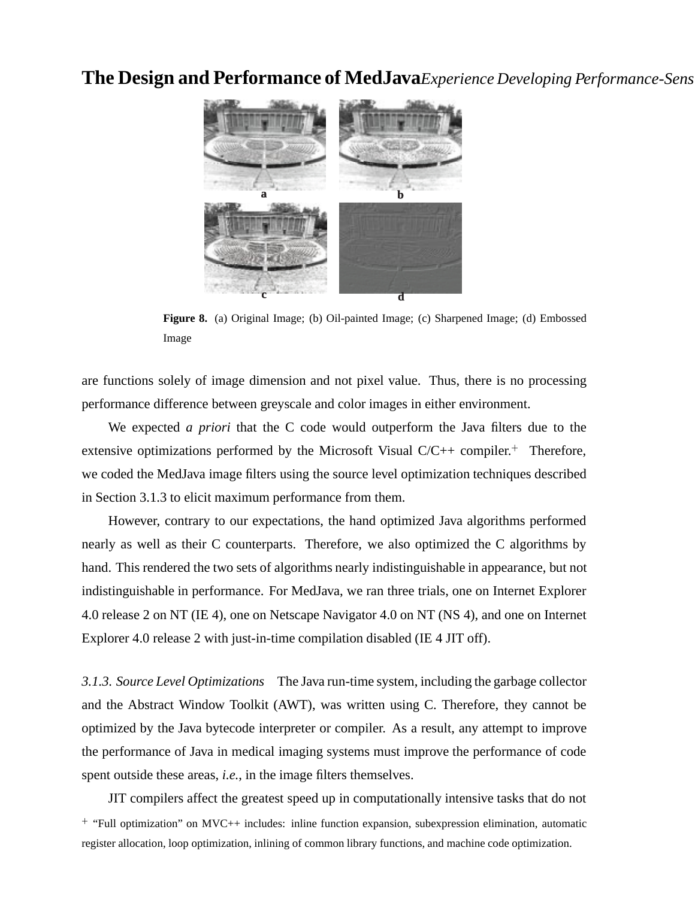

**Figure 8.** (a) Original Image; (b) Oil-painted Image; (c) Sharpened Image; (d) Embossed Image

are functions solely of image dimension and not pixel value. Thus, there is no processing performance difference between greyscale and color images in either environment.

We expected *a priori* that the C code would outperform the Java filters due to the extensive optimizations performed by the Microsoft Visual  $C/C++$  compiler.<sup>+</sup> Therefore, we coded the MedJava image filters using the source level optimization techniques described in Section 3.1.3 to elicit maximum performance from them.

However, contrary to our expectations, the hand optimized Java algorithms performed nearly as well as their C counterparts. Therefore, we also optimized the C algorithms by hand. This rendered the two sets of algorithms nearly indistinguishable in appearance, but not indistinguishable in performance. For MedJava, we ran three trials, one on Internet Explorer 4.0 release 2 on NT (IE 4), one on Netscape Navigator 4.0 on NT (NS 4), and one on Internet Explorer 4.0 release 2 with just-in-time compilation disabled (IE 4 JIT off).

*3.1.3. Source Level Optimizations* The Java run-time system, including the garbage collector and the Abstract Window Toolkit (AWT), was written using C. Therefore, they cannot be optimized by the Java bytecode interpreter or compiler. As a result, any attempt to improve the performance of Java in medical imaging systems must improve the performance of code spent outside these areas, *i.e.*, in the image filters themselves.

JIT compilers affect the greatest speed up in computationally intensive tasks that do not <sup>+</sup> "Full optimization" on MVC++ includes: inline function expansion, subexpression elimination, automatic register allocation, loop optimization, inlining of common library functions, and machine code optimization.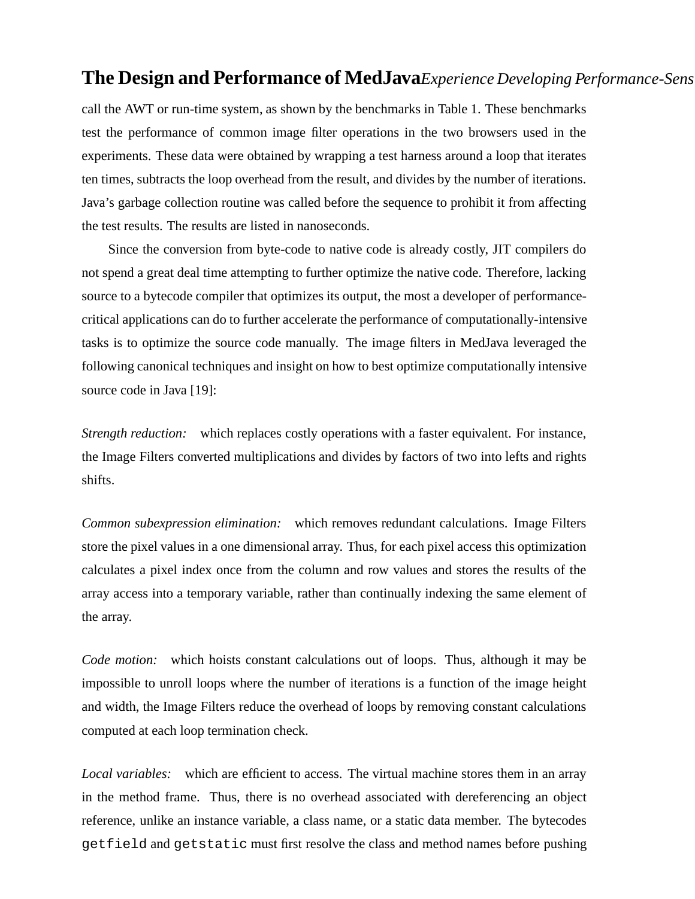call the AWT or run-time system, as shown by the benchmarks in Table 1. These benchmarks test the performance of common image filter operations in the two browsers used in the experiments. These data were obtained by wrapping a test harness around a loop that iterates ten times, subtracts the loop overhead from the result, and divides by the number of iterations. Java's garbage collection routine was called before the sequence to prohibit it from affecting the test results. The results are listed in nanoseconds.

Since the conversion from byte-code to native code is already costly, JIT compilers do not spend a great deal time attempting to further optimize the native code. Therefore, lacking source to a bytecode compiler that optimizes its output, the most a developer of performancecritical applications can do to further accelerate the performance of computationally-intensive tasks is to optimize the source code manually. The image filters in MedJava leveraged the following canonical techniques and insight on how to best optimize computationally intensive source code in Java [19]:

*Strength reduction:* which replaces costly operations with a faster equivalent. For instance, the Image Filters converted multiplications and divides by factors of two into lefts and rights shifts.

*Common subexpression elimination:* which removes redundant calculations. Image Filters store the pixel values in a one dimensional array. Thus, for each pixel access this optimization calculates a pixel index once from the column and row values and stores the results of the array access into a temporary variable, rather than continually indexing the same element of the array.

*Code motion:* which hoists constant calculations out of loops. Thus, although it may be impossible to unroll loops where the number of iterations is a function of the image height and width, the Image Filters reduce the overhead of loops by removing constant calculations computed at each loop termination check.

Local variables: which are efficient to access. The virtual machine stores them in an array in the method frame. Thus, there is no overhead associated with dereferencing an object reference, unlike an instance variable, a class name, or a static data member. The bytecodes getfield and getstatic must first resolve the class and method names before pushing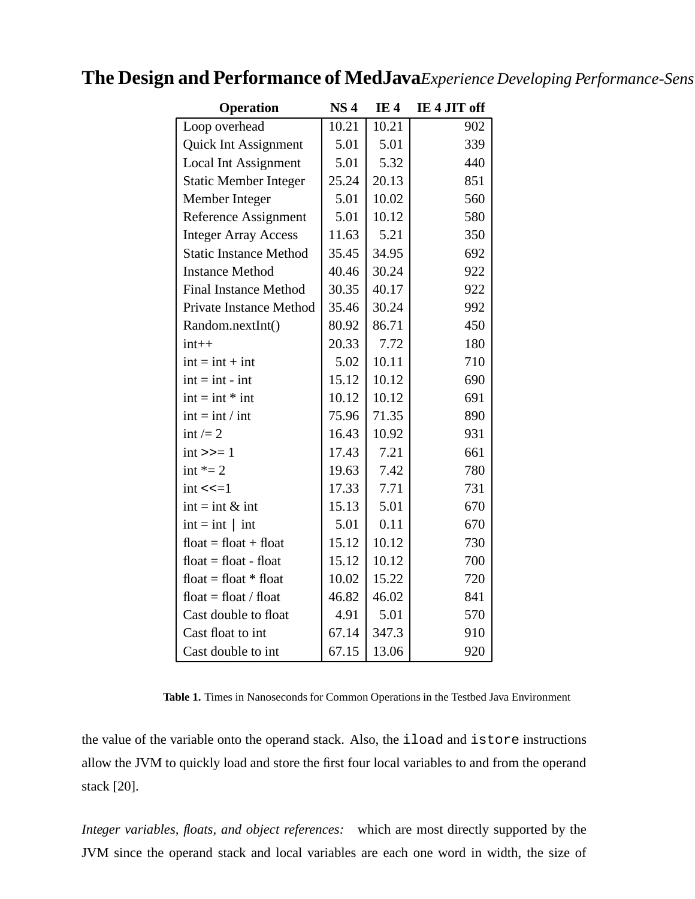| <b>Operation</b>                       | NS <sub>4</sub> | IE <sub>4</sub> | IE 4 JIT off |
|----------------------------------------|-----------------|-----------------|--------------|
| Loop overhead                          | 10.21           | 10.21           | 902          |
| <b>Quick Int Assignment</b>            | 5.01            | 5.01            | 339          |
| Local Int Assignment                   | 5.01            | 5.32            | 440          |
| <b>Static Member Integer</b>           | 25.24           | 20.13           | 851          |
| Member Integer                         | 5.01            | 10.02           | 560          |
| Reference Assignment                   | 5.01            | 10.12           | 580          |
| <b>Integer Array Access</b>            | 11.63           | 5.21            | 350          |
| <b>Static Instance Method</b>          | 35.45           | 34.95           | 692          |
| <b>Instance Method</b>                 | 40.46           | 30.24           | 922          |
| <b>Final Instance Method</b>           | 30.35           | 40.17           | 922          |
| Private Instance Method                | 35.46           | 30.24           | 992          |
| Random.nextInt()                       | 80.92           | 86.71           | 450          |
| $int++$                                | 20.33           | 7.72            | 180          |
| $int = int + int$                      | 5.02            | 10.11           | 710          |
| $int = int - int$                      | 15.12           | 10.12           | 690          |
| $\text{int} = \text{int} * \text{int}$ | 10.12           | 10.12           | 691          |
| $int = int / int$                      | 75.96           | 71.35           | 890          |
| $int / = 2$                            | 16.43           | 10.92           | 931          |
| $int \geq 1$                           | 17.43           | 7.21            | 661          |
| int $* = 2$                            | 19.63           | 7.42            | 780          |
| $int < =1$                             | 17.33           | 7.71            | 731          |
| $int = int \& int$                     | 15.13           | 5.01            | 670          |
| $int = int$   int                      | 5.01            | 0.11            | 670          |
| $float = float + float$                | 15.12           | 10.12           | 730          |
| $float = float - float$                | 15.12           | 10.12           | 700          |
| $float = float * float$                | 10.02           | 15.22           | 720          |
| float = float / float                  | 46.82           | 46.02           | 841          |
| Cast double to float                   | 4.91            | 5.01            | 570          |
| Cast float to int                      | 67.14           | 347.3           | 910          |
| Cast double to int                     | 67.15           | 13.06           | 920          |

**Table 1.** Times in Nanoseconds for Common Operations in the Testbed Java Environment

the value of the variable onto the operand stack. Also, the iload and istore instructions allow the JVM to quickly load and store the first four local variables to and from the operand stack [20].

*Integer variables, floats, and object references:* which are most directly supported by the JVM since the operand stack and local variables are each one word in width, the size of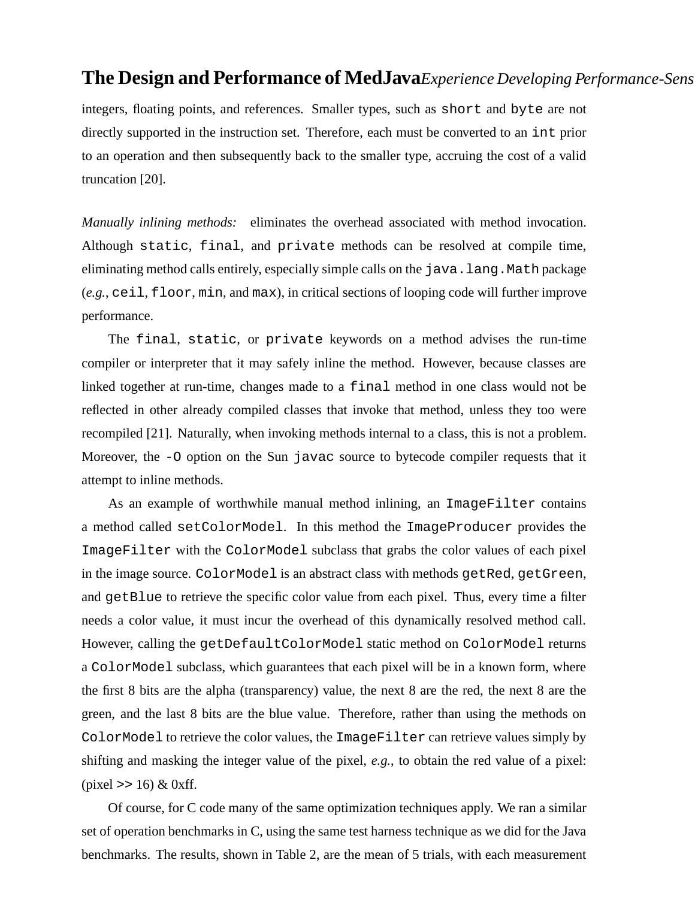integers, floating points, and references. Smaller types, such as short and byte are not directly supported in the instruction set. Therefore, each must be converted to an int prior to an operation and then subsequently back to the smaller type, accruing the cost of a valid truncation [20].

*Manually inlining methods:* eliminates the overhead associated with method invocation. Although static, final, and private methods can be resolved at compile time, eliminating method calls entirely, especially simple calls on the java.lang.Math package (*e.g.*, ceil, floor, min, and max), in critical sections of looping code will further improve performance.

The final, static, or private keywords on a method advises the run-time compiler or interpreter that it may safely inline the method. However, because classes are linked together at run-time, changes made to a final method in one class would not be reflected in other already compiled classes that invoke that method, unless they too were recompiled [21]. Naturally, when invoking methods internal to a class, this is not a problem. Moreover, the -O option on the Sun javac source to bytecode compiler requests that it attempt to inline methods.

As an example of worthwhile manual method inlining, an ImageFilter contains a method called setColorModel. In this method the ImageProducer provides the ImageFilter with the ColorModel subclass that grabs the color values of each pixel in the image source. ColorModel is an abstract class with methods getRed, getGreen, and getBlue to retrieve the specific color value from each pixel. Thus, every time a filter needs a color value, it must incur the overhead of this dynamically resolved method call. However, calling the getDefaultColorModel static method on ColorModel returns a ColorModel subclass, which guarantees that each pixel will be in a known form, where the first 8 bits are the alpha (transparency) value, the next 8 are the red, the next 8 are the green, and the last 8 bits are the blue value. Therefore, rather than using the methods on ColorModel to retrieve the color values, the ImageFilter can retrieve values simply by shifting and masking the integer value of the pixel, *e.g.*, to obtain the red value of a pixel:  $(pixel \gg 16)$  & 0xff.

Of course, for C code many of the same optimization techniques apply. We ran a similar set of operation benchmarks in C, using the same test harness technique as we did for the Java benchmarks. The results, shown in Table 2, are the mean of 5 trials, with each measurement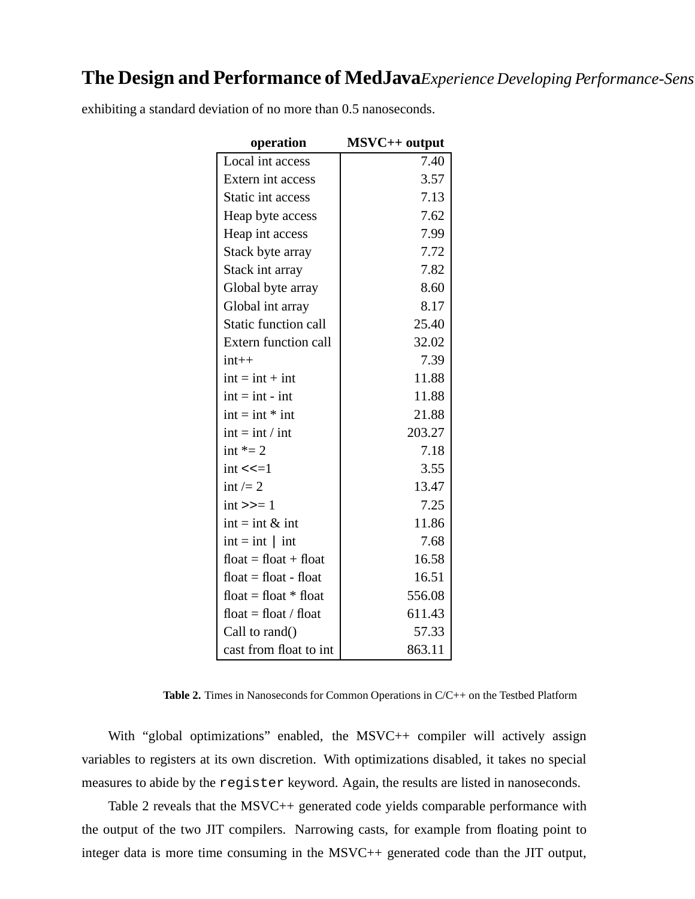exhibiting a standard deviation of no more than 0.5 nanoseconds.

| operation                              | MSVC++ output |
|----------------------------------------|---------------|
| Local int access                       | 7.40          |
| Extern int access                      | 3.57          |
| Static int access                      | 7.13          |
| Heap byte access                       | 7.62          |
| Heap int access                        | 7.99          |
| Stack byte array                       | 7.72          |
| Stack int array                        | 7.82          |
| Global byte array                      | 8.60          |
| Global int array                       | 8.17          |
| Static function call                   | 25.40         |
| Extern function call                   | 32.02         |
| $int_{++}$                             | 7.39          |
| $\text{int} = \text{int} + \text{int}$ | 11.88         |
| $int = int - int$                      | 11.88         |
| $\text{int} = \text{int} * \text{int}$ | 21.88         |
| $\text{int} = \text{int} / \text{int}$ | 203.27        |
| int $* = 2$                            | 7.18          |
| $int < =1$                             | 3.55          |
| $int / = 2$                            | 13.47         |
| int $\gg=1$                            | 7.25          |
| $int = int \& int$                     | 11.86         |
| $\text{int} = \text{int}$   int        | 7.68          |
| $float = float + float$                | 16.58         |
| $float = float - float$                | 16.51         |
| float = float $*$ float                | 556.08        |
| float = float / float                  | 611.43        |
| Call to rand()                         | 57.33         |
| cast from float to int                 | 863.11        |

**Table 2.** Times in Nanoseconds for Common Operations in C/C++ on the Testbed Platform

With "global optimizations" enabled, the MSVC++ compiler will actively assign variables to registers at its own discretion. With optimizations disabled, it takes no special measures to abide by the register keyword. Again, the results are listed in nanoseconds.

Table 2 reveals that the MSVC++ generated code yields comparable performance with the output of the two JIT compilers. Narrowing casts, for example from floating point to integer data is more time consuming in the MSVC++ generated code than the JIT output,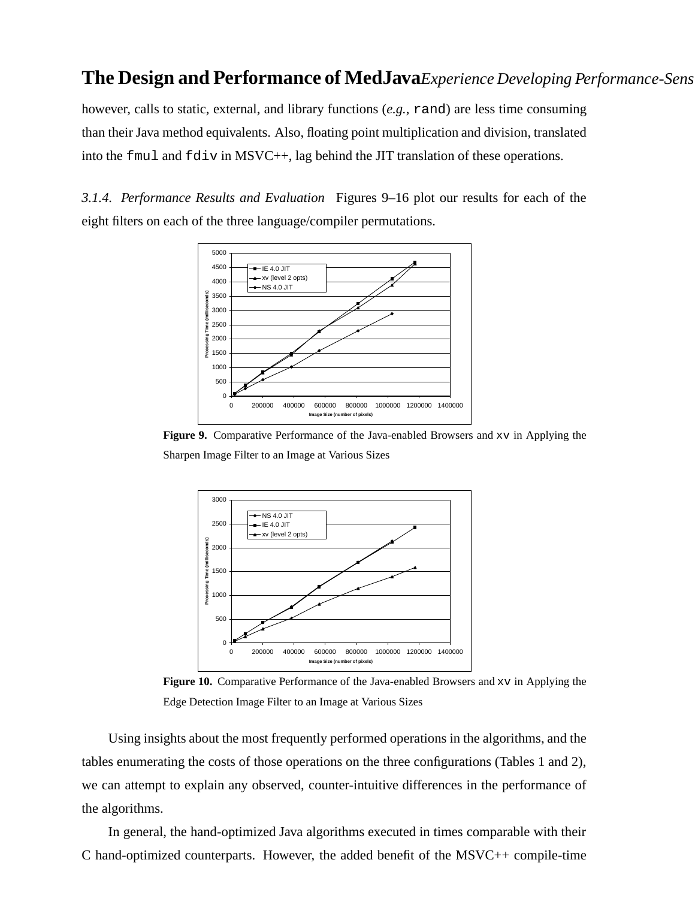however, calls to static, external, and library functions (*e.g.*, rand) are less time consuming than their Java method equivalents. Also, floating point multiplication and division, translated into the fmul and fdiv in MSVC++, lag behind the JIT translation of these operations.

*3.1.4. Performance Results and Evaluation* Figures 9–16 plot our results for each of the eight filters on each of the three language/compiler permutations.



**Figure 9.** Comparative Performance of the Java-enabled Browsers and xv in Applying the Sharpen Image Filter to an Image at Various Sizes



**Figure 10.** Comparative Performance of the Java-enabled Browsers and xv in Applying the Edge Detection Image Filter to an Image at Various Sizes

Using insights about the most frequently performed operations in the algorithms, and the tables enumerating the costs of those operations on the three configurations (Tables 1 and 2), we can attempt to explain any observed, counter-intuitive differences in the performance of the algorithms.

In general, the hand-optimized Java algorithms executed in times comparable with their C hand-optimized counterparts. However, the added benefit of the MSVC++ compile-time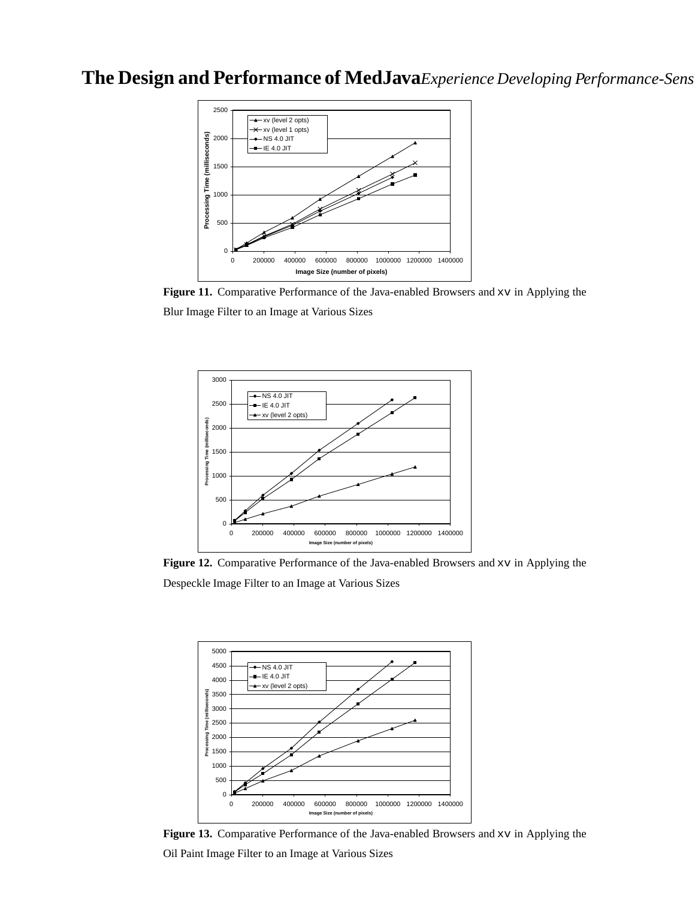

**Figure 11.** Comparative Performance of the Java-enabled Browsers and xv in Applying the Blur Image Filter to an Image at Various Sizes



**Figure 12.** Comparative Performance of the Java-enabled Browsers and xv in Applying the Despeckle Image Filter to an Image at Various Sizes



**Figure 13.** Comparative Performance of the Java-enabled Browsers and xv in Applying the Oil Paint Image Filter to an Image at Various Sizes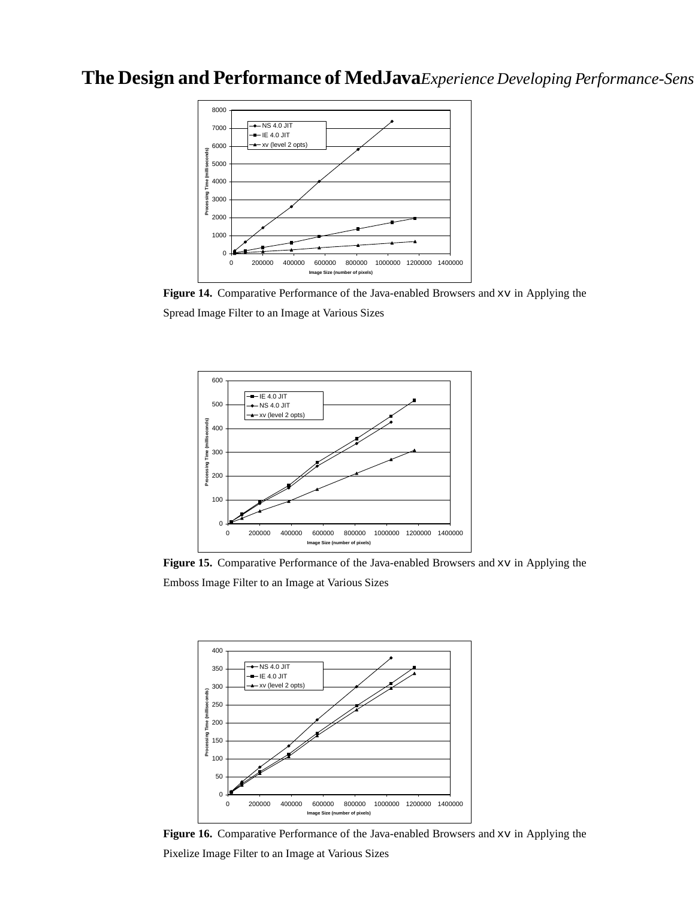

**Figure 14.** Comparative Performance of the Java-enabled Browsers and xv in Applying the Spread Image Filter to an Image at Various Sizes



**Figure 15.** Comparative Performance of the Java-enabled Browsers and xv in Applying the Emboss Image Filter to an Image at Various Sizes



**Figure 16.** Comparative Performance of the Java-enabled Browsers and xv in Applying the Pixelize Image Filter to an Image at Various Sizes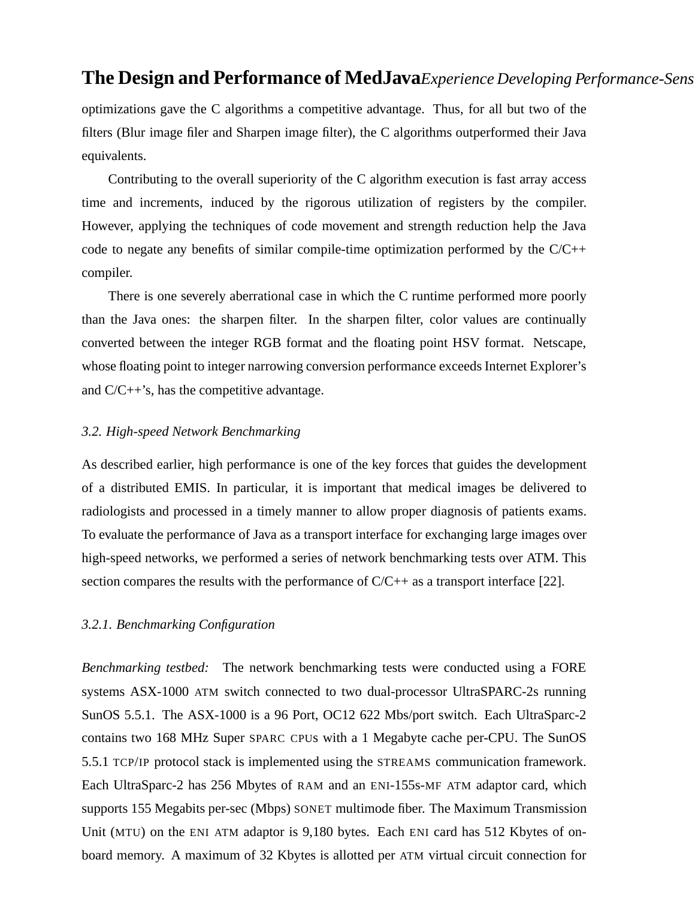optimizations gave the C algorithms a competitive advantage. Thus, for all but two of the filters (Blur image filer and Sharpen image filter), the C algorithms outperformed their Java equivalents.

Contributing to the overall superiority of the C algorithm execution is fast array access time and increments, induced by the rigorous utilization of registers by the compiler. However, applying the techniques of code movement and strength reduction help the Java code to negate any benefits of similar compile-time optimization performed by the  $C/C++$ compiler.

There is one severely aberrational case in which the C runtime performed more poorly than the Java ones: the sharpen filter. In the sharpen filter, color values are continually converted between the integer RGB format and the floating point HSV format. Netscape, whose floating point to integer narrowing conversion performance exceeds Internet Explorer's and C/C++'s, has the competitive advantage.

#### *3.2. High-speed Network Benchmarking*

As described earlier, high performance is one of the key forces that guides the development of a distributed EMIS. In particular, it is important that medical images be delivered to radiologists and processed in a timely manner to allow proper diagnosis of patients exams. To evaluate the performance of Java as a transport interface for exchanging large images over high-speed networks, we performed a series of network benchmarking tests over ATM. This section compares the results with the performance of  $C/C++$  as a transport interface [22].

#### *3.2.1. Benchmarking Configuration*

*Benchmarking testbed:* The network benchmarking tests were conducted using a FORE systems ASX-1000 ATM switch connected to two dual-processor UltraSPARC-2s running SunOS 5.5.1. The ASX-1000 is a 96 Port, OC12 622 Mbs/port switch. Each UltraSparc-2 contains two 168 MHz Super SPARC CPUs with a 1 Megabyte cache per-CPU. The SunOS 5.5.1 TCP/IP protocol stack is implemented using the STREAMS communication framework. Each UltraSparc-2 has 256 Mbytes of RAM and an ENI-155s-MF ATM adaptor card, which supports 155 Megabits per-sec (Mbps) SONET multimode fiber. The Maximum Transmission Unit (MTU) on the ENI ATM adaptor is 9,180 bytes. Each ENI card has 512 Kbytes of onboard memory. A maximum of 32 Kbytes is allotted per ATM virtual circuit connection for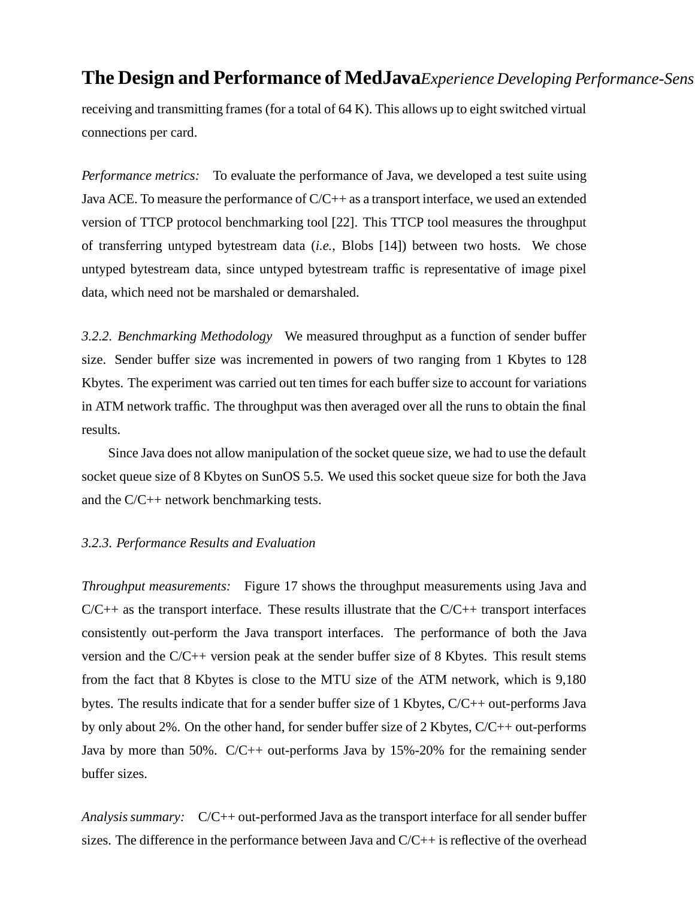receiving and transmitting frames (for a total of 64 K). This allows up to eight switched virtual connections per card.

*Performance metrics:* To evaluate the performance of Java, we developed a test suite using Java ACE. To measure the performance of C/C++ as a transport interface, we used an extended version of TTCP protocol benchmarking tool [22]. This TTCP tool measures the throughput of transferring untyped bytestream data (*i.e.*, Blobs [14]) between two hosts. We chose untyped bytestream data, since untyped bytestream traffic is representative of image pixel data, which need not be marshaled or demarshaled.

*3.2.2. Benchmarking Methodology* We measured throughput as a function of sender buffer size. Sender buffer size was incremented in powers of two ranging from 1 Kbytes to 128 Kbytes. The experiment was carried out ten times for each buffer size to account for variations in ATM network traffic. The throughput was then averaged over all the runs to obtain the final results.

Since Java does not allow manipulation of the socket queue size, we had to use the default socket queue size of 8 Kbytes on SunOS 5.5. We used this socket queue size for both the Java and the C/C++ network benchmarking tests.

#### *3.2.3. Performance Results and Evaluation*

*Throughput measurements:* Figure 17 shows the throughput measurements using Java and  $C/C++$  as the transport interface. These results illustrate that the  $C/C++$  transport interfaces consistently out-perform the Java transport interfaces. The performance of both the Java version and the C/C++ version peak at the sender buffer size of 8 Kbytes. This result stems from the fact that 8 Kbytes is close to the MTU size of the ATM network, which is 9,180 bytes. The results indicate that for a sender buffer size of 1 Kbytes, C/C++ out-performs Java by only about 2%. On the other hand, for sender buffer size of 2 Kbytes, C/C++ out-performs Java by more than 50%. C/C++ out-performs Java by 15%-20% for the remaining sender buffer sizes.

*Analysis summary:* C/C++ out-performed Java as the transport interface for all sender buffer sizes. The difference in the performance between Java and  $C/C++$  is reflective of the overhead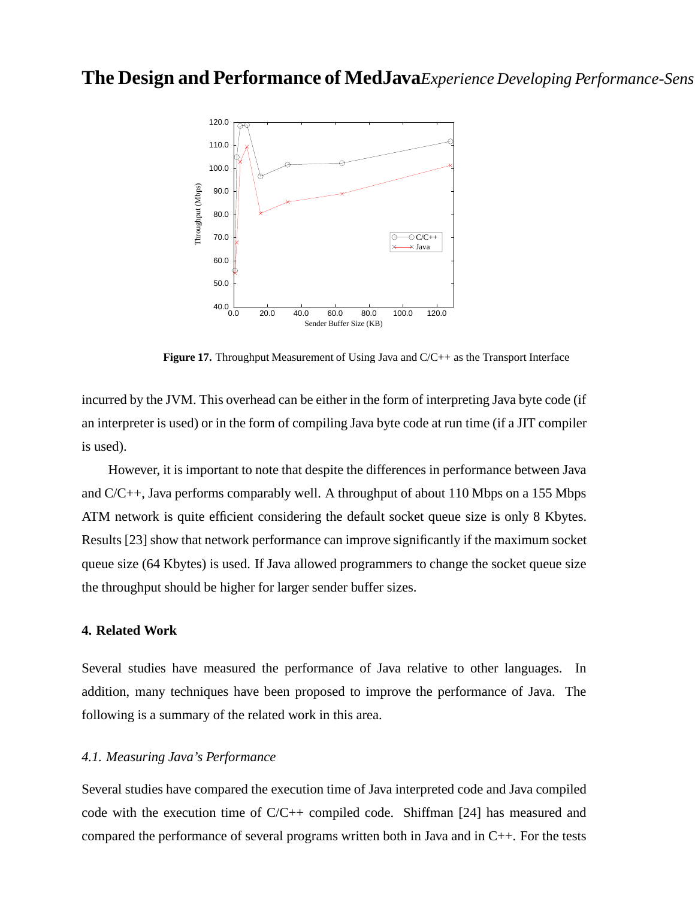

**Figure 17.** Throughput Measurement of Using Java and C/C++ as the Transport Interface

incurred by the JVM. This overhead can be either in the form of interpreting Java byte code (if an interpreter is used) or in the form of compiling Java byte code at run time (if a JIT compiler is used).

However, it is important to note that despite the differences in performance between Java and C/C++, Java performs comparably well. A throughput of about 110 Mbps on a 155 Mbps ATM network is quite efficient considering the default socket queue size is only 8 Kbytes. Results [23] show that network performance can improve significantly if the maximum socket queue size (64 Kbytes) is used. If Java allowed programmers to change the socket queue size the throughput should be higher for larger sender buffer sizes.

#### **4. Related Work**

Several studies have measured the performance of Java relative to other languages. In addition, many techniques have been proposed to improve the performance of Java. The following is a summary of the related work in this area.

#### *4.1. Measuring Java's Performance*

Several studies have compared the execution time of Java interpreted code and Java compiled code with the execution time of C/C++ compiled code. Shiffman [24] has measured and compared the performance of several programs written both in Java and in C++. For the tests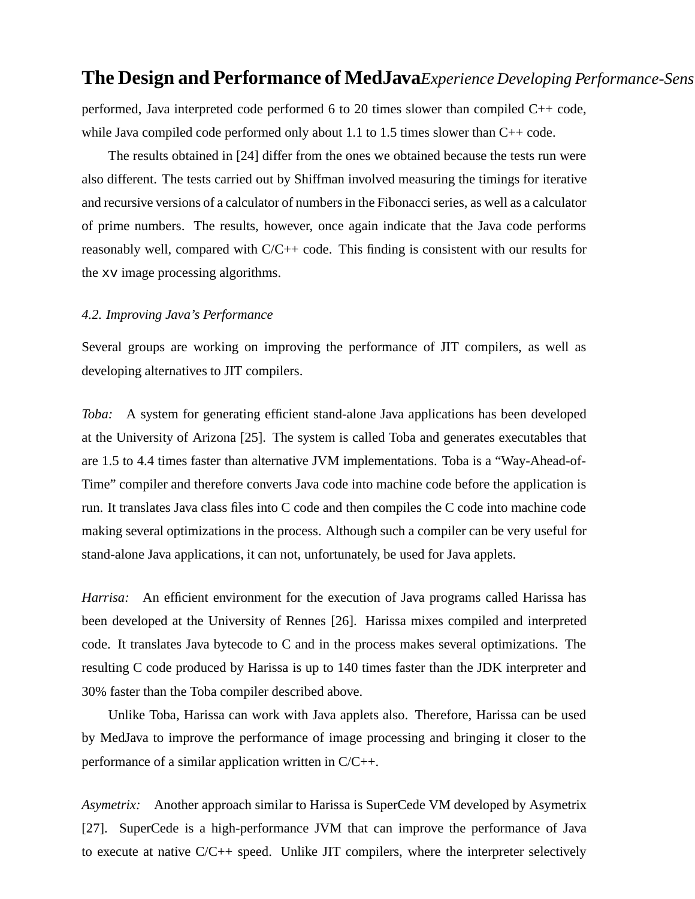performed, Java interpreted code performed 6 to 20 times slower than compiled C++ code, while Java compiled code performed only about 1.1 to 1.5 times slower than C++ code.

The results obtained in [24] differ from the ones we obtained because the tests run were also different. The tests carried out by Shiffman involved measuring the timings for iterative and recursive versions of a calculator of numbers in the Fibonacci series, as well as a calculator of prime numbers. The results, however, once again indicate that the Java code performs reasonably well, compared with C/C++ code. This finding is consistent with our results for the xv image processing algorithms.

#### *4.2. Improving Java's Performance*

Several groups are working on improving the performance of JIT compilers, as well as developing alternatives to JIT compilers.

*Toba:* A system for generating efficient stand-alone Java applications has been developed at the University of Arizona [25]. The system is called Toba and generates executables that are 1.5 to 4.4 times faster than alternative JVM implementations. Toba is a "Way-Ahead-of-Time" compiler and therefore converts Java code into machine code before the application is run. It translates Java class files into C code and then compiles the C code into machine code making several optimizations in the process. Although such a compiler can be very useful for stand-alone Java applications, it can not, unfortunately, be used for Java applets.

*Harrisa:* An efficient environment for the execution of Java programs called Harissa has been developed at the University of Rennes [26]. Harissa mixes compiled and interpreted code. It translates Java bytecode to C and in the process makes several optimizations. The resulting C code produced by Harissa is up to 140 times faster than the JDK interpreter and 30% faster than the Toba compiler described above.

Unlike Toba, Harissa can work with Java applets also. Therefore, Harissa can be used by MedJava to improve the performance of image processing and bringing it closer to the performance of a similar application written in C/C++.

*Asymetrix:* Another approach similar to Harissa is SuperCede VM developed by Asymetrix [27]. SuperCede is a high-performance JVM that can improve the performance of Java to execute at native  $C/C++$  speed. Unlike JIT compilers, where the interpreter selectively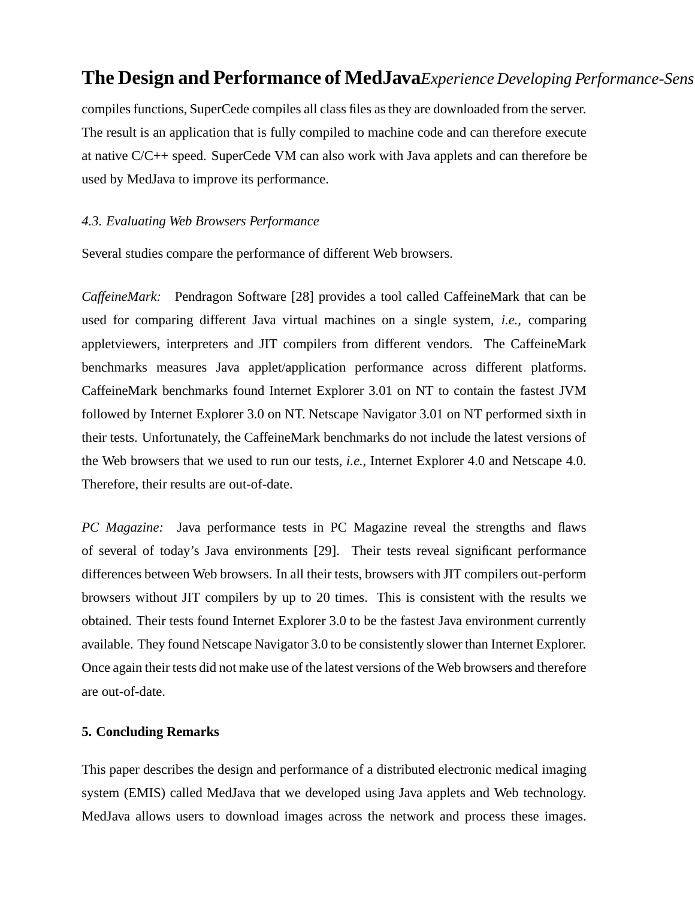compiles functions, SuperCede compiles all class files as they are downloaded from the server. The result is an application that is fully compiled to machine code and can therefore execute at native C/C++ speed. SuperCede VM can also work with Java applets and can therefore be used by MedJava to improve its performance.

#### *4.3. Evaluating Web Browsers Performance*

Several studies compare the performance of different Web browsers.

*CaffeineMark:* Pendragon Software [28] provides a tool called CaffeineMark that can be used for comparing different Java virtual machines on a single system, *i.e.,* comparing appletviewers, interpreters and JIT compilers from different vendors. The CaffeineMark benchmarks measures Java applet/application performance across different platforms. CaffeineMark benchmarks found Internet Explorer 3.01 on NT to contain the fastest JVM followed by Internet Explorer 3.0 on NT. Netscape Navigator 3.01 on NT performed sixth in their tests. Unfortunately, the CaffeineMark benchmarks do not include the latest versions of the Web browsers that we used to run our tests, *i.e.*, Internet Explorer 4.0 and Netscape 4.0. Therefore, their results are out-of-date.

*PC Magazine:* Java performance tests in PC Magazine reveal the strengths and flaws of several of today's Java environments [29]. Their tests reveal significant performance differences between Web browsers. In all their tests, browsers with JIT compilers out-perform browsers without JIT compilers by up to 20 times. This is consistent with the results we obtained. Their tests found Internet Explorer 3.0 to be the fastest Java environment currently available. They found Netscape Navigator 3.0 to be consistently slower than Internet Explorer. Once again their tests did not make use of the latest versions of the Web browsers and therefore are out-of-date.

#### **5. Concluding Remarks**

This paper describes the design and performance of a distributed electronic medical imaging system (EMIS) called MedJava that we developed using Java applets and Web technology. MedJava allows users to download images across the network and process these images.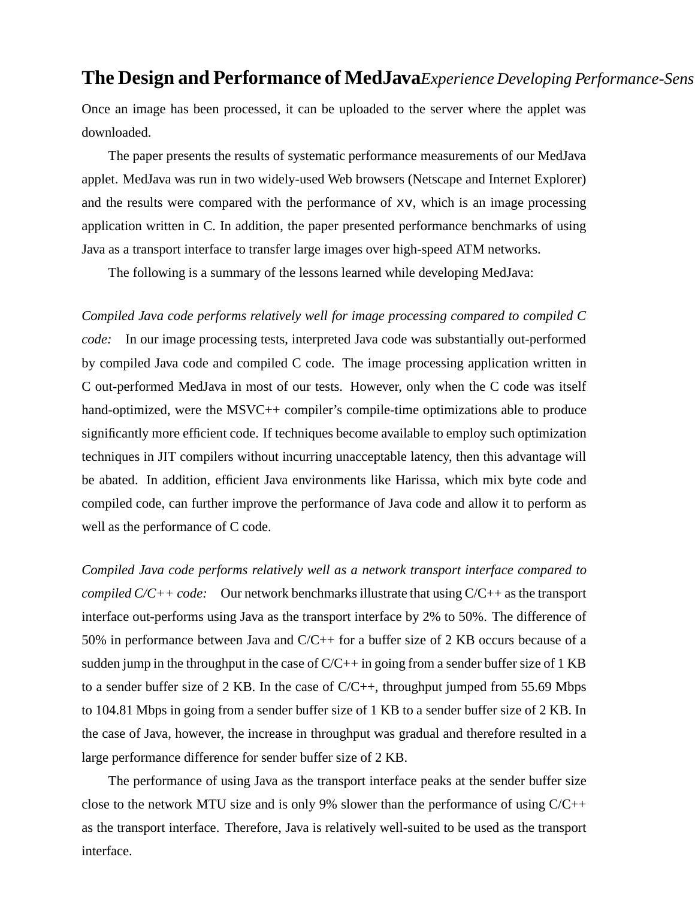Once an image has been processed, it can be uploaded to the server where the applet was downloaded.

The paper presents the results of systematic performance measurements of our MedJava applet. MedJava was run in two widely-used Web browsers (Netscape and Internet Explorer) and the results were compared with the performance of xv, which is an image processing application written in C. In addition, the paper presented performance benchmarks of using Java as a transport interface to transfer large images over high-speed ATM networks.

The following is a summary of the lessons learned while developing MedJava:

*Compiled Java code performs relatively well for image processing compared to compiled C code:* In our image processing tests, interpreted Java code was substantially out-performed by compiled Java code and compiled C code. The image processing application written in C out-performed MedJava in most of our tests. However, only when the C code was itself hand-optimized, were the MSVC++ compiler's compile-time optimizations able to produce significantly more efficient code. If techniques become available to employ such optimization techniques in JIT compilers without incurring unacceptable latency, then this advantage will be abated. In addition, efficient Java environments like Harissa, which mix byte code and compiled code, can further improve the performance of Java code and allow it to perform as well as the performance of C code.

*Compiled Java code performs relatively well as a network transport interface compared to compiled C/C++ code:* Our network benchmarks illustrate that using C/C++ as the transport interface out-performs using Java as the transport interface by 2% to 50%. The difference of 50% in performance between Java and C/C++ for a buffer size of 2 KB occurs because of a sudden jump in the throughput in the case of  $C/C++$  in going from a sender buffer size of 1 KB to a sender buffer size of 2 KB. In the case of  $C/C++$ , throughput jumped from 55.69 Mbps to 104.81 Mbps in going from a sender buffer size of 1 KB to a sender buffer size of 2 KB. In the case of Java, however, the increase in throughput was gradual and therefore resulted in a large performance difference for sender buffer size of 2 KB.

The performance of using Java as the transport interface peaks at the sender buffer size close to the network MTU size and is only 9% slower than the performance of using  $C/C++$ as the transport interface. Therefore, Java is relatively well-suited to be used as the transport interface.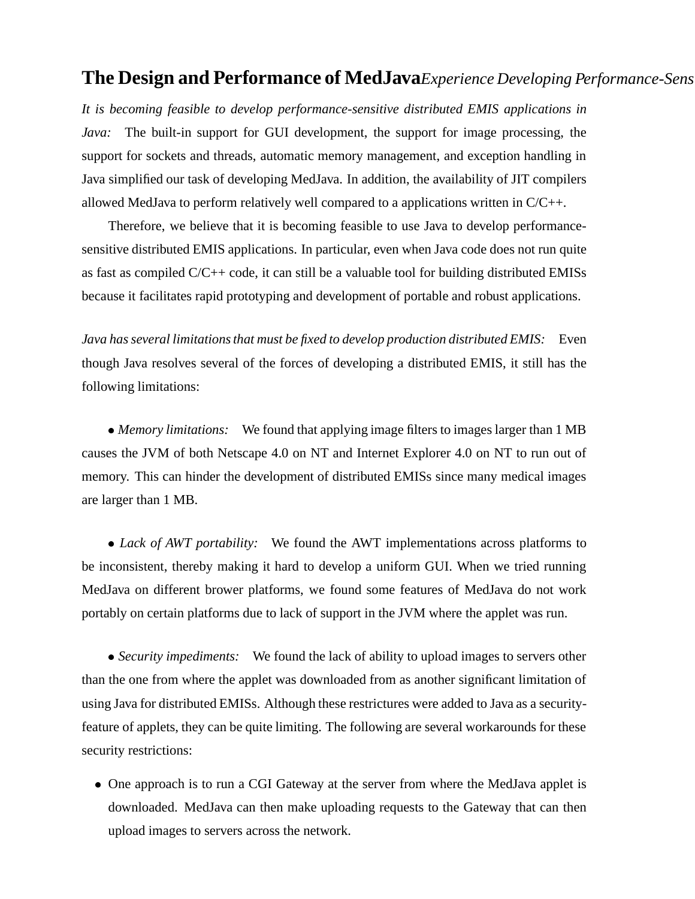*It is becoming feasible to develop performance-sensitive distributed EMIS applications in Java:* The built-in support for GUI development, the support for image processing, the support for sockets and threads, automatic memory management, and exception handling in Java simplified our task of developing MedJava. In addition, the availability of JIT compilers allowed MedJava to perform relatively well compared to a applications written in C/C++.

Therefore, we believe that it is becoming feasible to use Java to develop performancesensitive distributed EMIS applications. In particular, even when Java code does not run quite as fast as compiled C/C++ code, it can still be a valuable tool for building distributed EMISs because it facilitates rapid prototyping and development of portable and robust applications.

*Java has several limitations that must be fixed to develop production distributed EMIS:* Even though Java resolves several of the forces of developing a distributed EMIS, it still has the following limitations:

• *Memory limitations:* We found that applying image filters to images larger than 1 MB causes the JVM of both Netscape 4.0 on NT and Internet Explorer 4.0 on NT to run out of memory. This can hinder the development of distributed EMISs since many medical images are larger than 1 MB.

 *Lack of AWT portability:* We found the AWT implementations across platforms to be inconsistent, thereby making it hard to develop a uniform GUI. When we tried running MedJava on different brower platforms, we found some features of MedJava do not work portably on certain platforms due to lack of support in the JVM where the applet was run.

 *Security impediments:* We found the lack of ability to upload images to servers other than the one from where the applet was downloaded from as another significant limitation of using Java for distributed EMISs. Although these restrictures were added to Java as a securityfeature of applets, they can be quite limiting. The following are several workarounds for these security restrictions:

• One approach is to run a CGI Gateway at the server from where the MedJava applet is downloaded. MedJava can then make uploading requests to the Gateway that can then upload images to servers across the network.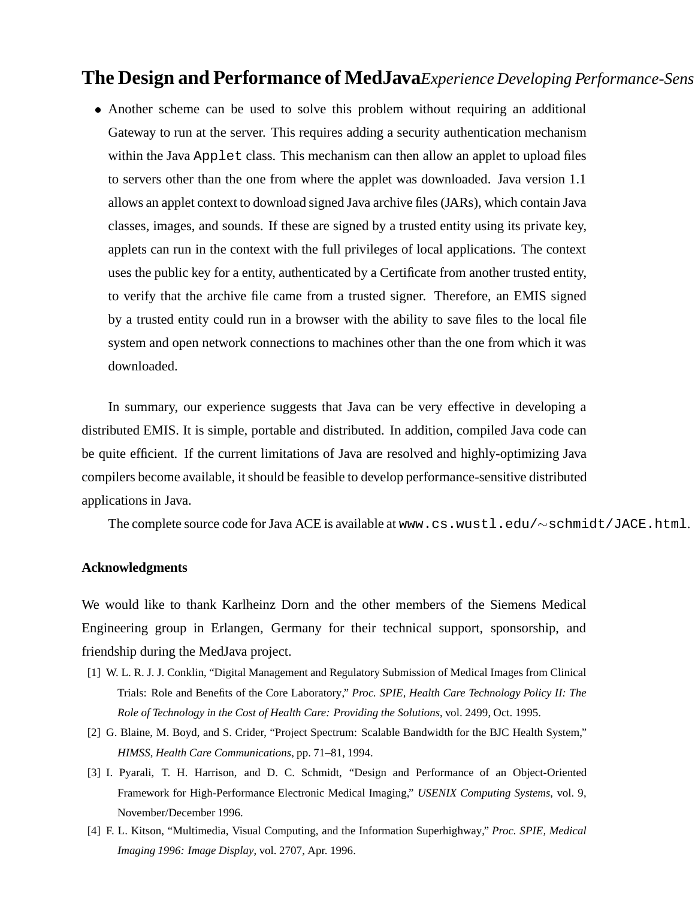Another scheme can be used to solve this problem without requiring an additional Gateway to run at the server. This requires adding a security authentication mechanism within the Java Applet class. This mechanism can then allow an applet to upload files to servers other than the one from where the applet was downloaded. Java version 1.1 allows an applet context to download signed Java archive files (JARs), which contain Java classes, images, and sounds. If these are signed by a trusted entity using its private key, applets can run in the context with the full privileges of local applications. The context uses the public key for a entity, authenticated by a Certificate from another trusted entity, to verify that the archive file came from a trusted signer. Therefore, an EMIS signed by a trusted entity could run in a browser with the ability to save files to the local file system and open network connections to machines other than the one from which it was downloaded.

In summary, our experience suggests that Java can be very effective in developing a distributed EMIS. It is simple, portable and distributed. In addition, compiled Java code can be quite efficient. If the current limitations of Java are resolved and highly-optimizing Java compilers become available, it should be feasible to develop performance-sensitive distributed applications in Java.

The complete source code for Java ACE is available at www.cs.wustl.edu/ $\sim$ schmidt/JACE.html.

#### **Acknowledgments**

We would like to thank Karlheinz Dorn and the other members of the Siemens Medical Engineering group in Erlangen, Germany for their technical support, sponsorship, and friendship during the MedJava project.

- [1] W. L. R. J. J. Conklin, "Digital Management and Regulatory Submission of Medical Images from Clinical Trials: Role and Benefits of the Core Laboratory," *Proc. SPIE, Health Care Technology Policy II: The Role of Technology in the Cost of Health Care: Providing the Solutions*, vol. 2499, Oct. 1995.
- [2] G. Blaine, M. Boyd, and S. Crider, "Project Spectrum: Scalable Bandwidth for the BJC Health System," *HIMSS, Health Care Communications*, pp. 71–81, 1994.
- [3] I. Pyarali, T. H. Harrison, and D. C. Schmidt, "Design and Performance of an Object-Oriented Framework for High-Performance Electronic Medical Imaging," *USENIX Computing Systems*, vol. 9, November/December 1996.
- [4] F. L. Kitson, "Multimedia, Visual Computing, and the Information Superhighway," *Proc. SPIE, Medical Imaging 1996: Image Display*, vol. 2707, Apr. 1996.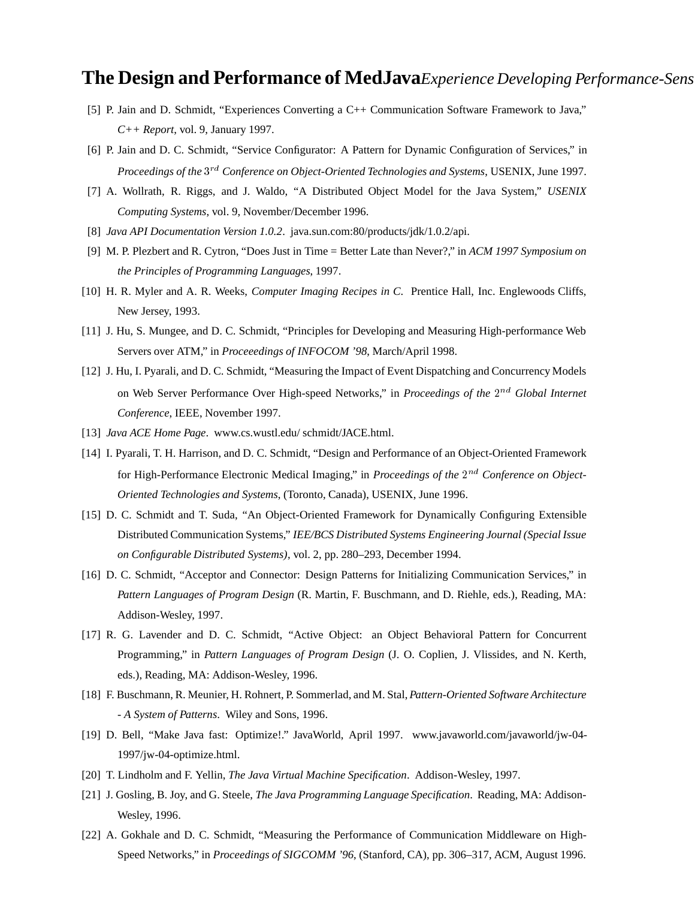- [5] P. Jain and D. Schmidt, "Experiences Converting a C++ Communication Software Framework to Java," *C++ Report*, vol. 9, January 1997.
- [6] P. Jain and D. C. Schmidt, "Service Configurator: A Pattern for Dynamic Configuration of Services," in *Proceedings of the* <sup>3</sup>rd *Conference on Object-Oriented Technologies and Systems*, USENIX, June 1997.
- [7] A. Wollrath, R. Riggs, and J. Waldo, "A Distributed Object Model for the Java System," *USENIX Computing Systems*, vol. 9, November/December 1996.
- [8] *Java API Documentation Version 1.0.2*. java.sun.com:80/products/jdk/1.0.2/api.
- [9] M. P. Plezbert and R. Cytron, "Does Just in Time = Better Late than Never?," in *ACM 1997 Symposium on the Principles of Programming Languages*, 1997.
- [10] H. R. Myler and A. R. Weeks, *Computer Imaging Recipes in C*. Prentice Hall, Inc. Englewoods Cliffs, New Jersey, 1993.
- [11] J. Hu, S. Mungee, and D. C. Schmidt, "Principles for Developing and Measuring High-performance Web Servers over ATM," in *Proceeedings of INFOCOM '98*, March/April 1998.
- [12] J. Hu, I. Pyarali, and D. C. Schmidt, "Measuring the Impact of Event Dispatching and Concurrency Models on Web Server Performance Over High-speed Networks," in *Proceedings of the* <sup>2</sup>nd *Global Internet Conference*, IEEE, November 1997.
- [13] *Java ACE Home Page*. www.cs.wustl.edu/ schmidt/JACE.html.
- [14] I. Pyarali, T. H. Harrison, and D. C. Schmidt, "Design and Performance of an Object-Oriented Framework for High-Performance Electronic Medical Imaging," in *Proceedings of the* <sup>2</sup>nd *Conference on Object-Oriented Technologies and Systems*, (Toronto, Canada), USENIX, June 1996.
- [15] D. C. Schmidt and T. Suda, "An Object-Oriented Framework for Dynamically Configuring Extensible Distributed Communication Systems," *IEE/BCS Distributed Systems Engineering Journal (Special Issue on Configurable Distributed Systems)*, vol. 2, pp. 280–293, December 1994.
- [16] D. C. Schmidt, "Acceptor and Connector: Design Patterns for Initializing Communication Services," in *Pattern Languages of Program Design* (R. Martin, F. Buschmann, and D. Riehle, eds.), Reading, MA: Addison-Wesley, 1997.
- [17] R. G. Lavender and D. C. Schmidt, "Active Object: an Object Behavioral Pattern for Concurrent Programming," in *Pattern Languages of Program Design* (J. O. Coplien, J. Vlissides, and N. Kerth, eds.), Reading, MA: Addison-Wesley, 1996.
- [18] F. Buschmann, R. Meunier, H. Rohnert, P. Sommerlad, and M. Stal, *Pattern-Oriented Software Architecture - A System of Patterns*. Wiley and Sons, 1996.
- [19] D. Bell, "Make Java fast: Optimize!." JavaWorld, April 1997. www.javaworld.com/javaworld/jw-04- 1997/jw-04-optimize.html.
- [20] T. Lindholm and F. Yellin, *The Java Virtual Machine Specification*. Addison-Wesley, 1997.
- [21] J. Gosling, B. Joy, and G. Steele, *The Java Programming Language Specification*. Reading, MA: Addison-Wesley, 1996.
- [22] A. Gokhale and D. C. Schmidt, "Measuring the Performance of Communication Middleware on High-Speed Networks," in *Proceedings of SIGCOMM '96*, (Stanford, CA), pp. 306–317, ACM, August 1996.